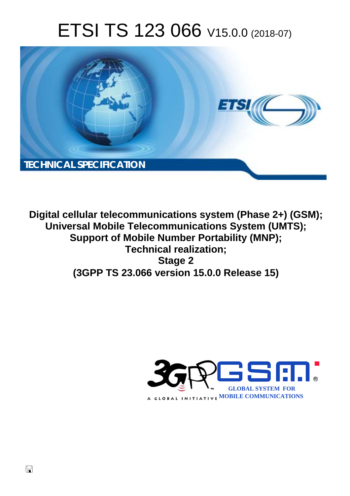# ETSI TS 123 066 V15.0.0 (2018-07)



**Digital cellular telecommunications system (Phase 2+) (GSM); Universal Mobile Telecommunications System (UMTS); Support of Mobile Number Portability (MNP); Technical realization; Stage 2 (3GPP TS 23.066 version 15.0.0 Release 15)** 

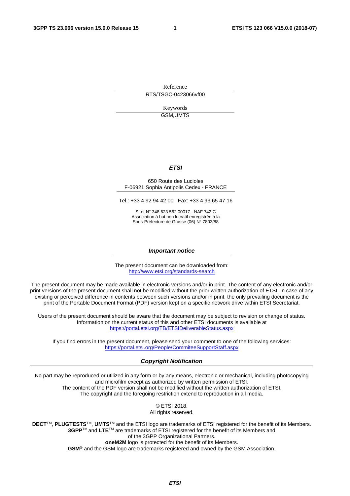Reference RTS/TSGC-0423066vf00

> Keywords GSM,UMTS

#### *ETSI*

#### 650 Route des Lucioles F-06921 Sophia Antipolis Cedex - FRANCE

Tel.: +33 4 92 94 42 00 Fax: +33 4 93 65 47 16

Siret N° 348 623 562 00017 - NAF 742 C Association à but non lucratif enregistrée à la Sous-Préfecture de Grasse (06) N° 7803/88

#### *Important notice*

The present document can be downloaded from: <http://www.etsi.org/standards-search>

The present document may be made available in electronic versions and/or in print. The content of any electronic and/or print versions of the present document shall not be modified without the prior written authorization of ETSI. In case of any existing or perceived difference in contents between such versions and/or in print, the only prevailing document is the print of the Portable Document Format (PDF) version kept on a specific network drive within ETSI Secretariat.

Users of the present document should be aware that the document may be subject to revision or change of status. Information on the current status of this and other ETSI documents is available at <https://portal.etsi.org/TB/ETSIDeliverableStatus.aspx>

If you find errors in the present document, please send your comment to one of the following services: <https://portal.etsi.org/People/CommiteeSupportStaff.aspx>

#### *Copyright Notification*

No part may be reproduced or utilized in any form or by any means, electronic or mechanical, including photocopying and microfilm except as authorized by written permission of ETSI. The content of the PDF version shall not be modified without the written authorization of ETSI. The copyright and the foregoing restriction extend to reproduction in all media.

> © ETSI 2018. All rights reserved.

**DECT**TM, **PLUGTESTS**TM, **UMTS**TM and the ETSI logo are trademarks of ETSI registered for the benefit of its Members. **3GPP**TM and **LTE**TM are trademarks of ETSI registered for the benefit of its Members and of the 3GPP Organizational Partners. **oneM2M** logo is protected for the benefit of its Members.

**GSM**® and the GSM logo are trademarks registered and owned by the GSM Association.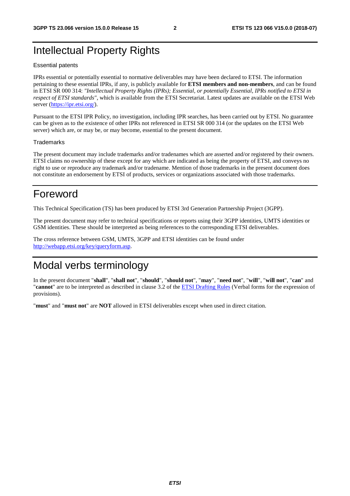## Intellectual Property Rights

#### Essential patents

IPRs essential or potentially essential to normative deliverables may have been declared to ETSI. The information pertaining to these essential IPRs, if any, is publicly available for **ETSI members and non-members**, and can be found in ETSI SR 000 314: *"Intellectual Property Rights (IPRs); Essential, or potentially Essential, IPRs notified to ETSI in respect of ETSI standards"*, which is available from the ETSI Secretariat. Latest updates are available on the ETSI Web server ([https://ipr.etsi.org/\)](https://ipr.etsi.org/).

Pursuant to the ETSI IPR Policy, no investigation, including IPR searches, has been carried out by ETSI. No guarantee can be given as to the existence of other IPRs not referenced in ETSI SR 000 314 (or the updates on the ETSI Web server) which are, or may be, or may become, essential to the present document.

#### **Trademarks**

The present document may include trademarks and/or tradenames which are asserted and/or registered by their owners. ETSI claims no ownership of these except for any which are indicated as being the property of ETSI, and conveys no right to use or reproduce any trademark and/or tradename. Mention of those trademarks in the present document does not constitute an endorsement by ETSI of products, services or organizations associated with those trademarks.

## Foreword

This Technical Specification (TS) has been produced by ETSI 3rd Generation Partnership Project (3GPP).

The present document may refer to technical specifications or reports using their 3GPP identities, UMTS identities or GSM identities. These should be interpreted as being references to the corresponding ETSI deliverables.

The cross reference between GSM, UMTS, 3GPP and ETSI identities can be found under [http://webapp.etsi.org/key/queryform.asp.](http://webapp.etsi.org/key/queryform.asp)

## Modal verbs terminology

In the present document "**shall**", "**shall not**", "**should**", "**should not**", "**may**", "**need not**", "**will**", "**will not**", "**can**" and "**cannot**" are to be interpreted as described in clause 3.2 of the [ETSI Drafting Rules](https://portal.etsi.org/Services/editHelp!/Howtostart/ETSIDraftingRules.aspx) (Verbal forms for the expression of provisions).

"**must**" and "**must not**" are **NOT** allowed in ETSI deliverables except when used in direct citation.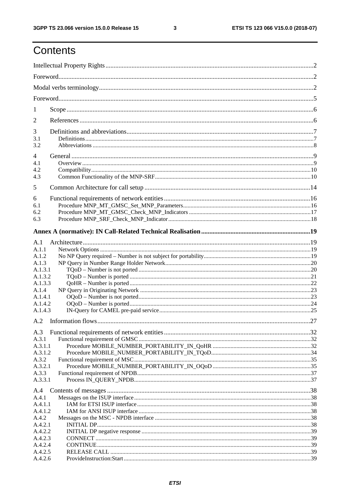ETSI TS 123 066 V15.0.0 (2018-07)

## Contents

| $\perp$            |  |  |
|--------------------|--|--|
| 2                  |  |  |
| 3                  |  |  |
| 3.1<br>3.2         |  |  |
| 4                  |  |  |
| 4.1                |  |  |
| 4.2                |  |  |
| 4.3                |  |  |
| 5                  |  |  |
|                    |  |  |
| 6                  |  |  |
| 6.1                |  |  |
| 6.2                |  |  |
| 6.3                |  |  |
|                    |  |  |
| A.1                |  |  |
| A.1.1              |  |  |
| A.1.2              |  |  |
| A.1.3              |  |  |
| A.1.3.1            |  |  |
| A.1.3.2            |  |  |
| A.1.3.3            |  |  |
| A.1.4              |  |  |
| A.1.4.1            |  |  |
| A.1.4.2            |  |  |
| A.1.4.3            |  |  |
|                    |  |  |
| A.3                |  |  |
| A.3.1              |  |  |
| A.3.1.1<br>A.3.1.2 |  |  |
| A.3.2              |  |  |
| A.3.2.1            |  |  |
| A.3.3              |  |  |
| A.3.3.1            |  |  |
| A.4                |  |  |
| A.4.1              |  |  |
| A.4.1.1            |  |  |
| A.4.1.2            |  |  |
| A.4.2              |  |  |
| A.4.2.1            |  |  |
| A.4.2.2            |  |  |
| A.4.2.3            |  |  |
| A.4.2.4            |  |  |
| A.4.2.5            |  |  |
| A.4.2.6            |  |  |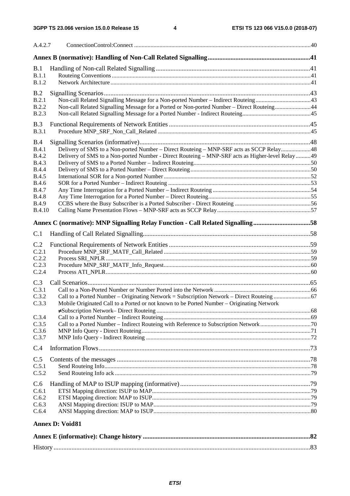| A.4.2.7                                                                                                                                                              |                                                                                                                                                                                             |  |
|----------------------------------------------------------------------------------------------------------------------------------------------------------------------|---------------------------------------------------------------------------------------------------------------------------------------------------------------------------------------------|--|
|                                                                                                                                                                      |                                                                                                                                                                                             |  |
| B.1<br>B.1.1<br><b>B.1.2</b>                                                                                                                                         |                                                                                                                                                                                             |  |
| B.2<br>B.2.1<br><b>B.2.2</b><br><b>B.2.3</b>                                                                                                                         | Non-call Related Signalling Message for a Ported or Non-ported Number – Direct Routeing44                                                                                                   |  |
| B.3<br>B.3.1                                                                                                                                                         |                                                                                                                                                                                             |  |
| <b>B.4</b><br>B.4.1<br><b>B.4.2</b><br><b>B.4.3</b><br><b>B.4.4</b><br><b>B.4.5</b><br><b>B.4.6</b><br><b>B.4.7</b><br><b>B.4.8</b><br><b>B.4.9</b><br><b>B.4.10</b> | Delivery of SMS to a Non-ported Number – Direct Routeing – MNP-SRF acts as SCCP Relay48<br>Delivery of SMS to a Non-ported Number - Direct Routeing - MNP-SRF acts as Higher-level Relay 49 |  |
|                                                                                                                                                                      | Annex C (normative): MNP Signalling Relay Function - Call Related Signalling58                                                                                                              |  |
| C.1                                                                                                                                                                  |                                                                                                                                                                                             |  |
| C.2<br>C.2.1<br>C.2.2<br>C.2.3<br>C.2.4                                                                                                                              |                                                                                                                                                                                             |  |
| C.3<br>C.3.1<br>C.3.2<br>C.3.3                                                                                                                                       | Mobile Originated Call to a Ported or not known to be Ported Number – Originating Network                                                                                                   |  |
| C.3.4<br>C.3.5<br>C.3.6<br>C.3.7                                                                                                                                     | Call to a Ported Number - Indirect Routeing with Reference to Subscription Network70                                                                                                        |  |
| C.4                                                                                                                                                                  |                                                                                                                                                                                             |  |
| C.5<br>C.5.1<br>C.5.2                                                                                                                                                |                                                                                                                                                                                             |  |
| C.6<br>C.6.1<br>C.6.2<br>C.6.3<br>C.6.4                                                                                                                              |                                                                                                                                                                                             |  |
|                                                                                                                                                                      | $A_{\text{max}}$ D. $V_{\alpha}$ : 101                                                                                                                                                      |  |

### **Annex D: Void 81**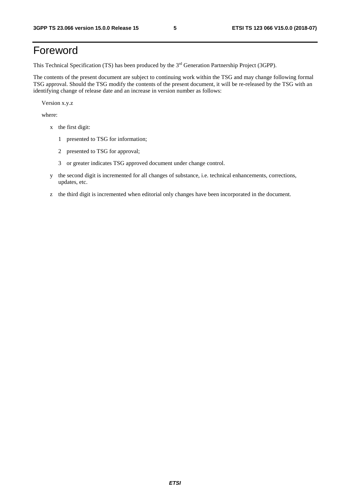## Foreword

This Technical Specification (TS) has been produced by the 3<sup>rd</sup> Generation Partnership Project (3GPP).

The contents of the present document are subject to continuing work within the TSG and may change following formal TSG approval. Should the TSG modify the contents of the present document, it will be re-released by the TSG with an identifying change of release date and an increase in version number as follows:

Version x.y.z

where:

- x the first digit:
	- 1 presented to TSG for information;
	- 2 presented to TSG for approval;
	- 3 or greater indicates TSG approved document under change control.
- y the second digit is incremented for all changes of substance, i.e. technical enhancements, corrections, updates, etc.
- z the third digit is incremented when editorial only changes have been incorporated in the document.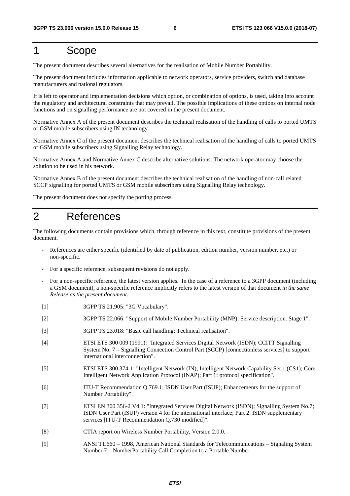## 1 Scope

The present document describes several alternatives for the realisation of Mobile Number Portability.

The present document includes information applicable to network operators, service providers, switch and database manufacturers and national regulators.

It is left to operator and implementation decisions which option, or combination of options, is used, taking into account the regulatory and architectural constraints that may prevail. The possible implications of these options on internal node functions and on signalling performance are not covered in the present document.

Normative Annex A of the present document describes the technical realisation of the handling of calls to ported UMTS or GSM mobile subscribers using IN technology.

Normative Annex C of the present document describes the technical realisation of the handling of calls to ported UMTS or GSM mobile subscribers using Signalling Relay technology.

Normative Annex A and Normative Annex C describe alternative solutions. The network operator may choose the solution to be used in his network.

Normative Annex B of the present document describes the technical realisation of the handling of non-call related SCCP signalling for ported UMTS or GSM mobile subscribers using Signalling Relay technology.

The present document does not specify the porting process.

## 2 References

The following documents contain provisions which, through reference in this text, constitute provisions of the present document.

- References are either specific (identified by date of publication, edition number, version number, etc.) or non-specific.
- For a specific reference, subsequent revisions do not apply.
- For a non-specific reference, the latest version applies. In the case of a reference to a 3GPP document (including a GSM document), a non-specific reference implicitly refers to the latest version of that document *in the same Release as the present document*.
- [1] 3GPP TS 21.905: "3G Vocabulary".
- [2] 3GPP TS 22.066: "Support of Mobile Number Portability (MNP); Service description. Stage 1".
- [3] 3GPP TS 23.018: "Basic call handling; Technical realisation".
- [4] ETSI ETS 300 009 (1991): "Integrated Services Digital Network (ISDN); CCITT Signalling System No. 7 – Signalling Connection Control Part (SCCP) [connectionless services] to support international interconnection".
- [5] ETSI ETS 300 374-1: "Intelligent Network (IN); Intelligent Network Capability Set 1 (CS1); Core Intelligent Network Application Protocol (INAP); Part 1: protocol specification".
- [6] ITU-T Recommendation Q.769.1; ISDN User Part (ISUP); Enhancements for the support of Number Portability".
- [7] ETSI EN 300 356-2 V4.1: "Integrated Services Digital Network (ISDN); Signalling System No.7; ISDN User Part (ISUP) version 4 for the international interface; Part 2: ISDN supplementary services [ITU-T Recommendation Q.730 modified]".
- [8} CTIA report on Wireless Number Portability, Version 2.0.0.
- [9] ANSI T1.660 1998, American National Standards for Telecommunications Signaling System Number 7 – NumberPortability Call Completion to a Portable Number.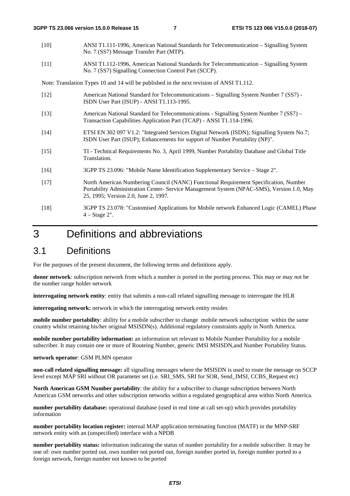- [10] ANSI T1.111-1996, American National Standards for Telecommunication Signalling System No. 7 (SS7) Message Transfer Part (MTP).
- [11] ANSI T1.112-1996, American National Standards for Telecommunication Signalling System No. 7 (SS7) Signalling Connection Control Part (SCCP).

Note: Translation Types 10 and 14 will be published in the next revision of ANSI T1.112.

- [12] American National Standard for Telecommunications Signalling System Number 7 (SS7) ISDN User Part (ISUP) - ANSI T1.113-1995.
- [13] American National Standard for Telecommunications Signalling System Number 7 (SS7) Transaction Capabilities Application Part (TCAP) - ANSI T1.114-1996.
- [14] ETSI EN 302 097 V1.2: "Integrated Services Digital Network (ISDN); Signalling System No.7; ISDN User Part (ISUP); Enhancements for support of Number Portability (NP)".
- [15] TI Technical Requirements No. 3, April 1999, Number Portability Database and Global Title Translation.
- [16] 3GPP TS 23.096: "Mobile Name Identification Supplementary Service Stage 2".
- [17] North American Numbering Council (NANC) Functional Requirement Specification, Number Portability Administration Center- Service Management System (NPAC-SMS), Version 1.0, May 25, 1995; Version 2.0, June 2, 1997*.*
- [18] 3GPP TS 23.078: "Customised Applications for Mobile network Enhanced Logic (CAMEL) Phase  $4 - Stage 2$ ".

## 3 Definitions and abbreviations

### 3.1 Definitions

For the purposes of the present document, the following terms and definitions apply.

**donor network**: subscription network from which a number is ported in the porting process. This may or may not be the number range holder network

**interrogating network entity**: entity that submits a non-call related signalling message to interrogate the HLR

**interrogating network:** network in which the interrogating network entity resides

**mobile number portability**: ability for a mobile subscriber to change mobile network subscription within the same country whilst retaining his/her original MSISDN(s). Additional regulatory constraints apply in North America.

**mobile number portability information:** an information set relevant to Mobile Number Portability for a mobile subscriber. It may contain one or more of Routeing Number, generic IMSI MSISDN,and Number Portability Status.

#### **network operator**: GSM PLMN operator

**non-call related signalling message:** all signalling messages where the MSISDN is used to route the message on SCCP level except MAP SRI without OR parameter set (i.e. SRI\_SMS, SRI for SOR, Send\_IMSI, CCBS\_Request etc)

**North American GSM Number portability**: the ability for a subscriber to change subscription between North American GSM networks and other subscription networks within a regulated geographical area within North America.

**number portability database:** operational database (used in real time at call set-up) which provides portability information

**number portability location register:** internal MAP application terminating function (MATF) in the MNP-SRF network entity with an (unspecified) interface with a NPDB

**number portability status:** information indicating the status of number portability for a mobile subscriber. It may be one of: own number ported out, own number not ported out, foreign number ported in, foreign number ported to a foreign network, foreign number not known to be ported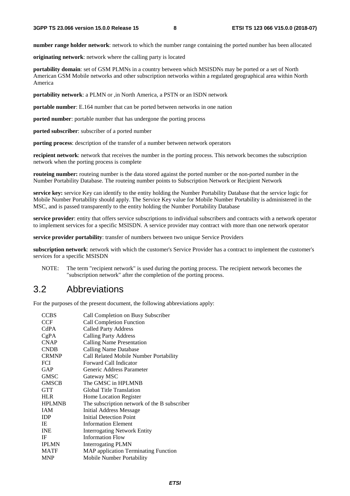**number range holder network**: network to which the number range containing the ported number has been allocated

**originating network**: network where the calling party is located

**portability domain**: set of GSM PLMNs in a country between which MSISDNs may be ported or a set of North American GSM Mobile networks and other subscription networks within a regulated geographical area within North America

**portability network**: a PLMN or ,in North America, a PSTN or an ISDN network

**portable number**: E.164 number that can be ported between networks in one nation

**ported number**: portable number that has undergone the porting process

**ported subscriber**: subscriber of a ported number

**porting process**: description of the transfer of a number between network operators

**recipient network**: network that receives the number in the porting process. This network becomes the subscription network when the porting process is complete

**routeing number:** routeing number is the data stored against the ported number or the non-ported number in the Number Portability Database. The routeing number points to Subscription Network or Recipient Network

**service key:** service Key can identify to the entity holding the Number Portability Database that the service logic for Mobile Number Portability should apply. The Service Key value for Mobile Number Portability is administered in the MSC, and is passed transparently to the entity holding the Number Portability Database

**service provider**: entity that offers service subscriptions to individual subscribers and contracts with a network operator to implement services for a specific MSISDN. A service provider may contract with more than one network operator

**service provider portability**: transfer of numbers between two unique Service Providers

**subscription network**: network with which the customer's Service Provider has a contract to implement the customer's services for a specific MSISDN

NOTE: The term "recipient network" is used during the porting process. The recipient network becomes the "subscription network" after the completion of the porting process.

### 3.2 Abbreviations

For the purposes of the present document, the following abbreviations apply:

| <b>CCBS</b>   | Call Completion on Busy Subscriber           |
|---------------|----------------------------------------------|
| <b>CCF</b>    | Call Completion Function                     |
| CdPA          | <b>Called Party Address</b>                  |
| CgPA          | <b>Calling Party Address</b>                 |
| <b>CNAP</b>   | Calling Name Presentation                    |
| <b>CNDB</b>   | <b>Calling Name Database</b>                 |
| <b>CRMNP</b>  | Call Related Mobile Number Portability       |
| FCI           | Forward Call Indicator                       |
| GAP           | Generic Address Parameter                    |
| <b>GMSC</b>   | Gateway MSC                                  |
| <b>GMSCB</b>  | The GMSC in HPLMNB                           |
| <b>GTT</b>    | <b>Global Title Translation</b>              |
| <b>HLR</b>    | Home Location Register                       |
| <b>HPLMNB</b> | The subscription network of the B subscriber |
| <b>IAM</b>    | Initial Address Message                      |
| <b>IDP</b>    | <b>Initial Detection Point</b>               |
| IE.           | <b>Information Element</b>                   |
| <b>INE</b>    | <b>Interrogating Network Entity</b>          |
| IF            | <b>Information Flow</b>                      |
| <b>IPLMN</b>  | <b>Interrogating PLMN</b>                    |
| <b>MATF</b>   | <b>MAP</b> application Terminating Function  |
| <b>MNP</b>    | Mobile Number Portability                    |
|               |                                              |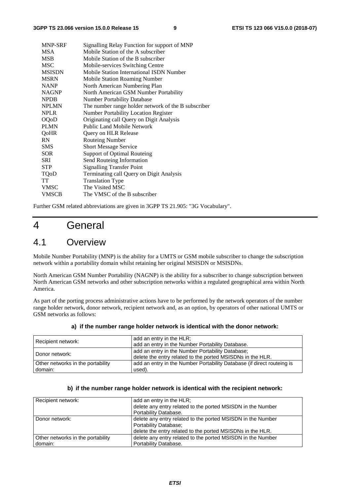| MNP-SRF       | Signalling Relay Function for support of MNP        |
|---------------|-----------------------------------------------------|
| <b>MSA</b>    | Mobile Station of the A subscriber                  |
| <b>MSB</b>    | Mobile Station of the B subscriber                  |
| <b>MSC</b>    | Mobile-services Switching Centre                    |
| <b>MSISDN</b> | Mobile Station International ISDN Number            |
| <b>MSRN</b>   | <b>Mobile Station Roaming Number</b>                |
| <b>NANP</b>   | North American Numbering Plan                       |
| <b>NAGNP</b>  | North American GSM Number Portability               |
| <b>NPDB</b>   | <b>Number Portability Database</b>                  |
| <b>NPLMN</b>  | The number range holder network of the B subscriber |
| <b>NPLR</b>   | Number Portability Location Register                |
| <b>OQoD</b>   | Originating call Query on Digit Analysis            |
| <b>PLMN</b>   | <b>Public Land Mobile Network</b>                   |
| QoHR          | Query on HLR Release                                |
| <b>RN</b>     | <b>Routeing Number</b>                              |
| <b>SMS</b>    | <b>Short Message Service</b>                        |
| <b>SOR</b>    | Support of Optimal Routeing                         |
| SRI           | Send Routeing Information                           |
| <b>STP</b>    | <b>Signalling Transfer Point</b>                    |
| TQoD          | Terminating call Query on Digit Analysis            |
| TT            | <b>Translation Type</b>                             |
| <b>VMSC</b>   | The Visited MSC                                     |
| <b>VMSCB</b>  | The VMSC of the B subscriber                        |

Further GSM related abbreviations are given in 3GPP TS 21.905: "3G Vocabulary".

## 4 General

### 4.1 Overview

Mobile Number Portability (MNP) is the ability for a UMTS or GSM mobile subscriber to change the subscription network within a portability domain whilst retaining her original MSISDN or MSISDNs.

North American GSM Number Portability (NAGNP) is the ability for a subscriber to change subscription between North American GSM networks and other subscription networks within a regulated geographical area within North America.

As part of the porting process administrative actions have to be performed by the network operators of the number range holder network, donor network, recipient network and, as an option, by operators of other national UMTS or GSM networks as follows:

| Recipient network:                           | add an entry in the HLR;<br>add an entry in the Number Portability Database.                                   |
|----------------------------------------------|----------------------------------------------------------------------------------------------------------------|
| Donor network:                               | add an entry in the Number Portability Database;<br>delete the entry related to the ported MSISDNs in the HLR. |
| Other networks in the portability<br>domain: | add an entry in the Number Portability Database (if direct routeing is<br>used).                               |

#### **a) if the number range holder network is identical with the donor network:**

#### **b) if the number range holder network is identical with the recipient network:**

| Recipient network:                | add an entry in the HLR;                                    |
|-----------------------------------|-------------------------------------------------------------|
|                                   | delete any entry related to the ported MSISDN in the Number |
|                                   | Portability Database.                                       |
| Donor network:                    | delete any entry related to the ported MSISDN in the Number |
|                                   | Portability Database;                                       |
|                                   | delete the entry related to the ported MSISDNs in the HLR.  |
| Other networks in the portability | delete any entry related to the ported MSISDN in the Number |
| domain:                           | Portability Database.                                       |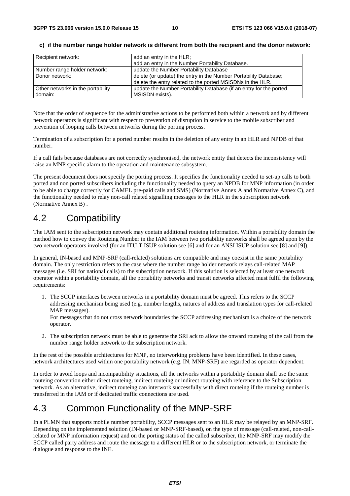| Recipient network:                | add an entry in the HLR;                                           |
|-----------------------------------|--------------------------------------------------------------------|
|                                   | add an entry in the Number Portability Database.                   |
| Number range holder network:      | update the Number Portability Database                             |
| Donor network:                    | delete (or update) the entry in the Number Portability Database;   |
|                                   | delete the entry related to the ported MSISDNs in the HLR.         |
| Other networks in the portability | update the Number Portability Database (if an entry for the ported |
| domain:                           | MSISDN exists).                                                    |

#### **c) if the number range holder network is different from both the recipient and the donor network:**

Note that the order of sequence for the administrative actions to be performed both within a network and by different network operators is significant with respect to prevention of disruption in service to the mobile subscriber and prevention of looping calls between networks during the porting process.

Termination of a subscription for a ported number results in the deletion of any entry in an HLR and NPDB of that number.

If a call fails because databases are not correctly synchronised, the network entity that detects the inconsistency will raise an MNP specific alarm to the operation and maintenance subsystem.

The present document does not specify the porting process. It specifies the functionality needed to set-up calls to both ported and non ported subscribers including the functionality needed to query an NPDB for MNP information (in order to be able to charge correctly for CAMEL pre-paid calls and SMS) (Normative Annex A and Normative Annex C), and the functionality needed to relay non-call related signalling messages to the HLR in the subscription network (Normative Annex B) .

### 4.2 Compatibility

The IAM sent to the subscription network may contain additional routeing information. Within a portability domain the method how to convey the Routeing Number in the IAM between two portability networks shall be agreed upon by the two network operators involved (for an ITU-T ISUP solution see [6] and for an ANSI ISUP solution see [8] and [9]).

In general, IN-based and MNP-SRF (call-related) solutions are compatible and may coexist in the same portability domain. The only restriction refers to the case where the number range holder network relays call-related MAP messages (i.e. SRI for national calls) to the subscription network. If this solution is selected by at least one network operator within a portability domain, all the portability networks and transit networks affected must fulfil the following requirements:

1. The SCCP interfaces between networks in a portability domain must be agreed. This refers to the SCCP addressing mechanism being used (e.g. number lengths, natures of address and translation types for call-related MAP messages).

For messages that do not cross network boundaries the SCCP addressing mechanism is a choice of the network operator.

2. The subscription network must be able to generate the SRI ack to allow the onward routeing of the call from the number range holder network to the subscription network.

In the rest of the possible architectures for MNP, no interworking problems have been identified. In these cases, network architectures used within one portability network (e.g. IN, MNP-SRF) are regarded as operator dependent.

In order to avoid loops and incompatibility situations, all the networks within a portability domain shall use the same routeing convention either direct routeing, indirect routeing or indirect routeing with reference to the Subscription network. As an alternative, indirect routeing can interwork successfully with direct routeing if the routeing number is transferred in the IAM or if dedicated traffic connections are used.

## 4.3 Common Functionality of the MNP-SRF

In a PLMN that supports mobile number portability, SCCP messages sent to an HLR may be relayed by an MNP-SRF. Depending on the implemented solution (IN-based or MNP-SRF-based), on the type of message (call-related, non-callrelated or MNP information request) and on the porting status of the called subscriber, the MNP-SRF may modify the SCCP called party address and route the message to a different HLR or to the subscription network, or terminate the dialogue and response to the INE.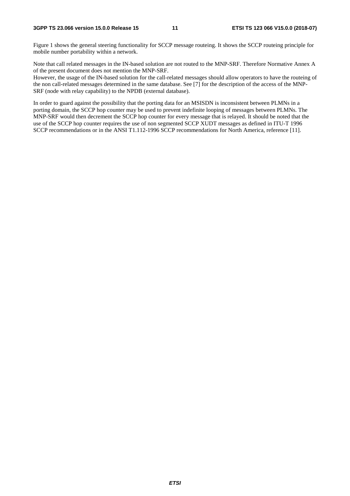Figure 1 shows the general steering functionality for SCCP message routeing. It shows the SCCP routeing principle for mobile number portability within a network.

Note that call related messages in the IN-based solution are not routed to the MNP-SRF. Therefore Normative Annex A of the present document does not mention the MNP-SRF.

However, the usage of the IN-based solution for the call-related messages should allow operators to have the routeing of the non call-related messages determined in the same database. See [7] for the description of the access of the MNP-SRF (node with relay capability) to the NPDB (external database).

In order to guard against the possibility that the porting data for an MSISDN is inconsistent between PLMNs in a porting domain, the SCCP hop counter may be used to prevent indefinite looping of messages between PLMNs. The MNP-SRF would then decrement the SCCP hop counter for every message that is relayed. It should be noted that the use of the SCCP hop counter requires the use of non segmented SCCP XUDT messages as defined in ITU-T 1996 SCCP recommendations or in the ANSI T1.112-1996 SCCP recommendations for North America, reference [11].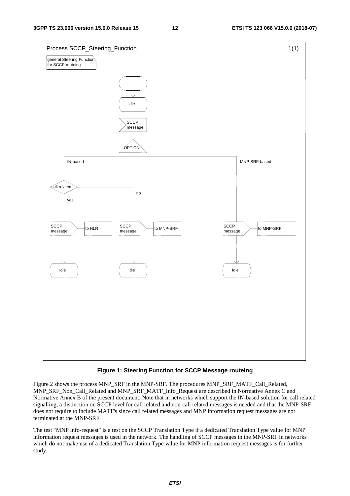

#### **Figure 1: Steering Function for SCCP Message routeing**

Figure 2 shows the process MNP\_SRF in the MNP-SRF. The procedures MNP\_SRF\_MATF\_Call\_Related, MNP\_SRF\_Non\_Call\_Related and MNP\_SRF\_MATF\_Info\_Request are described in Normative Annex C and Normative Annex B of the present document. Note that in networks which support the IN-based solution for call related signalling, a distinction on SCCP level for call related and non-call related messages is needed and that the MNP-SRF does not require to include MATF's since call related messages and MNP information request messages are not terminated at the MNP-SRF.

The test "MNP info-request" is a test on the SCCP Translation Type if a dedicated Translation Type value for MNP information request messages is used in the network. The handling of SCCP messages in the MNP-SRF in networks which do not make use of a dedicated Translation Type value for MNP information request messages is for further study.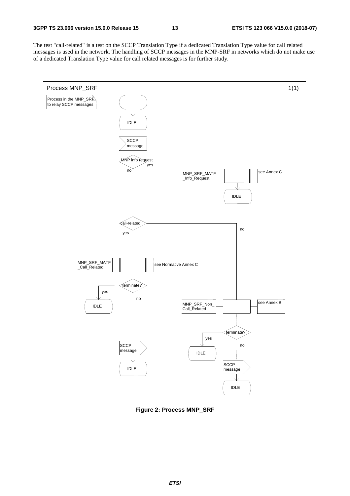The test "call-related" is a test on the SCCP Translation Type if a dedicated Translation Type value for call related messages is used in the network. The handling of SCCP messages in the MNP-SRF in networks which do not make use of a dedicated Translation Type value for call related messages is for further study.



**Figure 2: Process MNP\_SRF**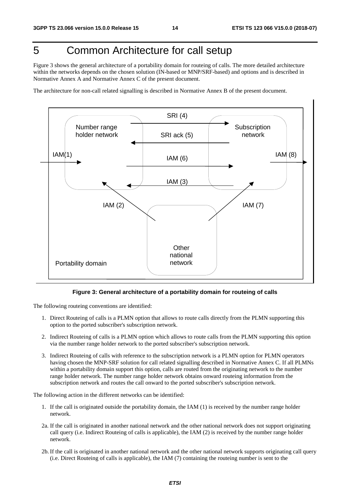## 5 Common Architecture for call setup

Figure 3 shows the general architecture of a portability domain for routeing of calls. The more detailed architecture within the networks depends on the chosen solution (IN-based or MNP/SRF-based) and options and is described in Normative Annex A and Normative Annex C of the present document.

The architecture for non-call related signalling is described in Normative Annex B of the present document.



#### **Figure 3: General architecture of a portability domain for routeing of calls**

The following routeing conventions are identified:

- 1. Direct Routeing of calls is a PLMN option that allows to route calls directly from the PLMN supporting this option to the ported subscriber's subscription network.
- 2. Indirect Routeing of calls is a PLMN option which allows to route calls from the PLMN supporting this option via the number range holder network to the ported subscriber's subscription network.
- 3. Indirect Routeing of calls with reference to the subscription network is a PLMN option for PLMN operators having chosen the MNP-SRF solution for call related signalling described in Normative Annex C. If all PLMNs within a portability domain support this option, calls are routed from the originating network to the number range holder network. The number range holder network obtains onward routeing information from the subscription network and routes the call onward to the ported subscriber's subscription network.

The following action in the different networks can be identified:

- 1. If the call is originated outside the portability domain, the IAM (1) is received by the number range holder network.
- 2a. If the call is originated in another national network and the other national network does not support originating call query (i.e. Indirect Routeing of calls is applicable), the IAM (2) is received by the number range holder network.
- 2b. If the call is originated in another national network and the other national network supports originating call query (i.e. Direct Routeing of calls is applicable), the IAM (7) containing the routeing number is sent to the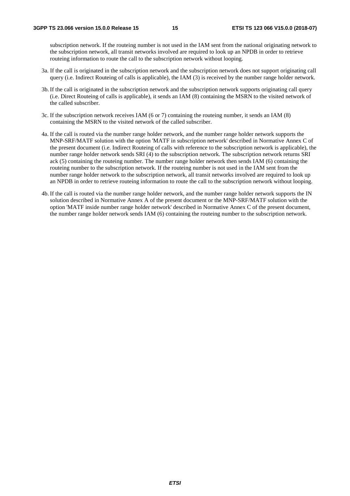subscription network. If the routeing number is not used in the IAM sent from the national originating network to the subscription network, all transit networks involved are required to look up an NPDB in order to retrieve routeing information to route the call to the subscription network without looping.

- 3a. If the call is originated in the subscription network and the subscription network does not support originating call query (i.e. Indirect Routeing of calls is applicable), the IAM (3) is received by the number range holder network.
- 3b. If the call is originated in the subscription network and the subscription network supports originating call query (i.e. Direct Routeing of calls is applicable), it sends an IAM (8) containing the MSRN to the visited network of the called subscriber.
- 3c. If the subscription network receives IAM (6 or 7) containing the routeing number, it sends an IAM (8) containing the MSRN to the visited network of the called subscriber.
- 4a. If the call is routed via the number range holder network, and the number range holder network supports the MNP-SRF/MATF solution with the option 'MATF in subscription network' described in Normative Annex C of the present document (i.e. Indirect Routeing of calls with reference to the subscription network is applicable), the number range holder network sends SRI (4) to the subscription network. The subscription network returns SRI ack (5) containing the routeing number. The number range holder network then sends IAM (6) containing the routeing number to the subscription network. If the routeing number is not used in the IAM sent from the number range holder network to the subscription network, all transit networks involved are required to look up an NPDB in order to retrieve routeing information to route the call to the subscription network without looping.
- 4b. If the call is routed via the number range holder network, and the number range holder network supports the IN solution described in Normative Annex A of the present document or the MNP-SRF/MATF solution with the option 'MATF inside number range holder network' described in Normative Annex C of the present document, the number range holder network sends IAM (6) containing the routeing number to the subscription network.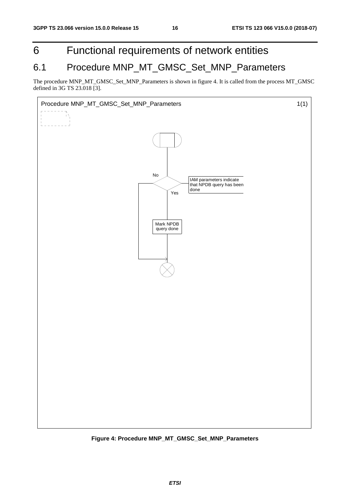## 6 Functional requirements of network entities

## 6.1 Procedure MNP\_MT\_GMSC\_Set\_MNP\_Parameters

The procedure MNP\_MT\_GMSC\_Set\_MNP\_Parameters is shown in figure 4. It is called from the process MT\_GMSC defined in 3G TS 23.018 [3].



**Figure 4: Procedure MNP\_MT\_GMSC\_Set\_MNP\_Parameters**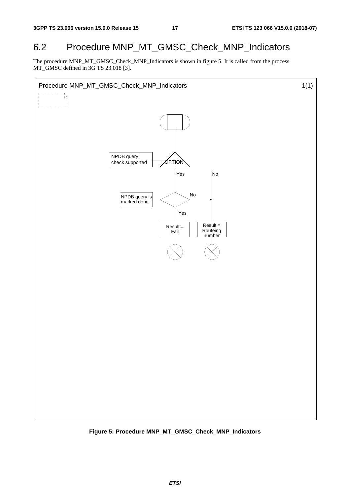## 6.2 Procedure MNP\_MT\_GMSC\_Check\_MNP\_Indicators

The procedure MNP\_MT\_GMSC\_Check\_MNP\_Indicators is shown in figure 5. It is called from the process MT\_GMSC defined in 3G TS 23.018 [3].



**Figure 5: Procedure MNP\_MT\_GMSC\_Check\_MNP\_Indicators**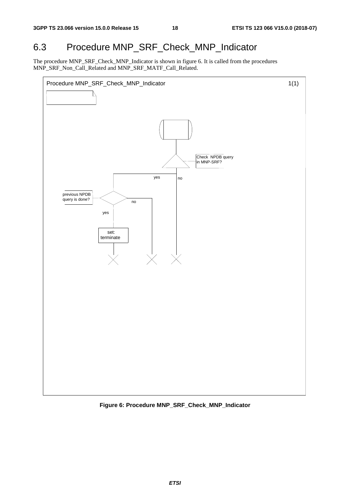## 6.3 Procedure MNP\_SRF\_Check\_MNP\_Indicator

The procedure MNP\_SRF\_Check\_MNP\_Indicator is shown in figure 6. It is called from the procedures MNP\_SRF\_Non\_Call\_Related and MNP\_SRF\_MATF\_Call\_Related.



**Figure 6: Procedure MNP\_SRF\_Check\_MNP\_Indicator**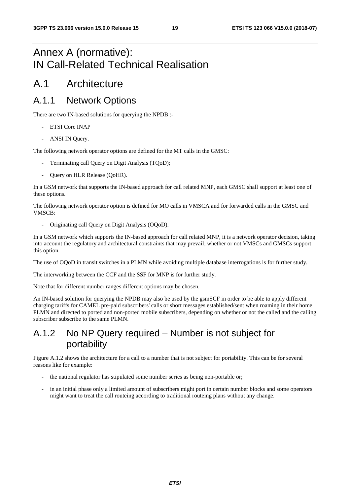## Annex A (normative): IN Call-Related Technical Realisation

## A.1 Architecture

## A.1.1 Network Options

There are two IN-based solutions for querying the NPDB :-

- ETSI Core INAP
- ANSI IN Query.

The following network operator options are defined for the MT calls in the GMSC:

- Terminating call Query on Digit Analysis (TQoD);
- Query on HLR Release (QoHR).

In a GSM network that supports the IN-based approach for call related MNP, each GMSC shall support at least one of these options.

The following network operator option is defined for MO calls in VMSCA and for forwarded calls in the GMSC and VMSCB:

- Originating call Query on Digit Analysis (OQoD).

In a GSM network which supports the IN-based approach for call related MNP, it is a network operator decision, taking into account the regulatory and architectural constraints that may prevail, whether or not VMSCs and GMSCs support this option.

The use of OQoD in transit switches in a PLMN while avoiding multiple database interrogations is for further study.

The interworking between the CCF and the SSF for MNP is for further study.

Note that for different number ranges different options may be chosen.

An IN-based solution for querying the NPDB may also be used by the gsmSCF in order to be able to apply different charging tariffs for CAMEL pre-paid subscribers' calls or short messages established/sent when roaming in their home PLMN and directed to ported and non-ported mobile subscribers, depending on whether or not the called and the calling subscriber subscribe to the same PLMN.

## A.1.2 No NP Query required – Number is not subject for portability

Figure A.1.2 shows the architecture for a call to a number that is not subject for portability. This can be for several reasons like for example:

- the national regulator has stipulated some number series as being non-portable or;
- in an initial phase only a limited amount of subscribers might port in certain number blocks and some operators might want to treat the call routeing according to traditional routeing plans without any change.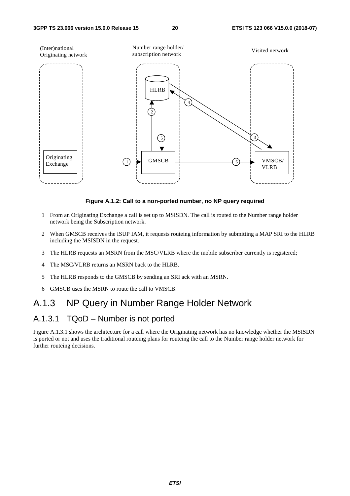

#### **Figure A.1.2: Call to a non-ported number, no NP query required**

- 1 From an Originating Exchange a call is set up to MSISDN. The call is routed to the Number range holder network being the Subscription network.
- 2 When GMSCB receives the ISUP IAM, it requests routeing information by submitting a MAP SRI to the HLRB including the MSISDN in the request.
- 3 The HLRB requests an MSRN from the MSC/VLRB where the mobile subscriber currently is registered;
- 4 The MSC/VLRB returns an MSRN back to the HLRB.
- 5 The HLRB responds to the GMSCB by sending an SRI ack with an MSRN.
- 6 GMSCB uses the MSRN to route the call to VMSCB.

### A.1.3 NP Query in Number Range Holder Network

### A.1.3.1 TQoD – Number is not ported

Figure A.1.3.1 shows the architecture for a call where the Originating network has no knowledge whether the MSISDN is ported or not and uses the traditional routeing plans for routeing the call to the Number range holder network for further routeing decisions.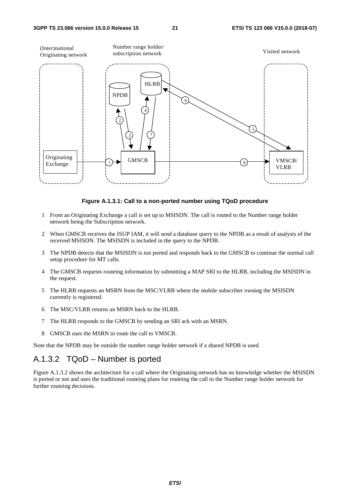

**Figure A.1.3.1: Call to a non-ported number using TQoD procedure** 

- 1 From an Originating Exchange a call is set up to MSISDN. The call is routed to the Number range holder network being the Subscription network.
- 2 When GMSCB receives the ISUP IAM, it will send a database query to the NPDB as a result of analysis of the received MSISDN. The MSISDN is included in the query to the NPDB.
- 3 The NPDB detects that the MSISDN is not ported and responds back to the GMSCB to continue the normal call setup procedure for MT calls.
- 4 The GMSCB requests routeing information by submitting a MAP SRI to the HLRB, including the MSISDN in the request.
- 5 The HLRB requests an MSRN from the MSC/VLRB where the mobile subscriber owning the MSISDN currently is registered.
- 6 The MSC/VLRB returns an MSRN back to the HLRB.
- 7 The HLRB responds to the GMSCB by sending an SRI ack with an MSRN.
- 8 GMSCB uses the MSRN to route the call to VMSCB.

Note that the NPDB may be outside the number range holder network if a shared NPDB is used.

### A.1.3.2 TQoD – Number is ported

Figure A.1.3.2 shows the architecture for a call where the Originating network has no knowledge whether the MSISDN is ported or not and uses the traditional routeing plans for routeing the call to the Number range holder network for further routeing decisions.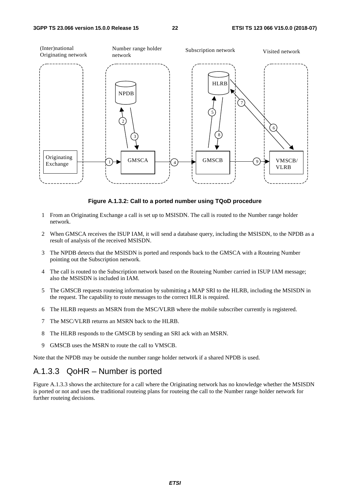

**Figure A.1.3.2: Call to a ported number using TQoD procedure** 

- 1 From an Originating Exchange a call is set up to MSISDN. The call is routed to the Number range holder network.
- 2 When GMSCA receives the ISUP IAM, it will send a database query, including the MSISDN, to the NPDB as a result of analysis of the received MSISDN.
- 3 The NPDB detects that the MSISDN is ported and responds back to the GMSCA with a Routeing Number pointing out the Subscription network.
- 4 The call is routed to the Subscription network based on the Routeing Number carried in ISUP IAM message; also the MSISDN is included in IAM.
- 5 The GMSCB requests routeing information by submitting a MAP SRI to the HLRB, including the MSISDN in the request. The capability to route messages to the correct HLR is required.
- 6 The HLRB requests an MSRN from the MSC/VLRB where the mobile subscriber currently is registered.
- 7 The MSC/VLRB returns an MSRN back to the HLRB.
- 8 The HLRB responds to the GMSCB by sending an SRI ack with an MSRN.
- 9 GMSCB uses the MSRN to route the call to VMSCB.

Note that the NPDB may be outside the number range holder network if a shared NPDB is used.

### A.1.3.3 QoHR – Number is ported

Figure A.1.3.3 shows the architecture for a call where the Originating network has no knowledge whether the MSISDN is ported or not and uses the traditional routeing plans for routeing the call to the Number range holder network for further routeing decisions.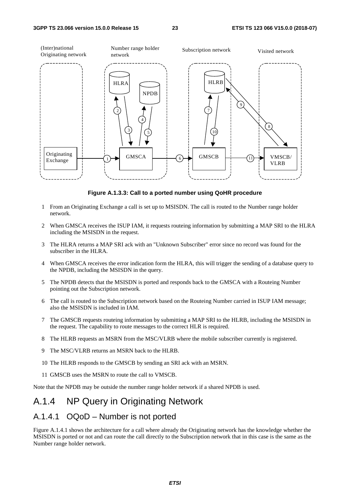

**Figure A.1.3.3: Call to a ported number using QoHR procedure** 

- 1 From an Originating Exchange a call is set up to MSISDN. The call is routed to the Number range holder network.
- 2 When GMSCA receives the ISUP IAM, it requests routeing information by submitting a MAP SRI to the HLRA including the MSISDN in the request.
- 3 The HLRA returns a MAP SRI ack with an "Unknown Subscriber" error since no record was found for the subscriber in the HLRA.
- 4 When GMSCA receives the error indication form the HLRA, this will trigger the sending of a database query to the NPDB, including the MSISDN in the query.
- 5 The NPDB detects that the MSISDN is ported and responds back to the GMSCA with a Routeing Number pointing out the Subscription network.
- 6 The call is routed to the Subscription network based on the Routeing Number carried in ISUP IAM message; also the MSISDN is included in IAM.
- 7 The GMSCB requests routeing information by submitting a MAP SRI to the HLRB, including the MSISDN in the request. The capability to route messages to the correct HLR is required.
- 8 The HLRB requests an MSRN from the MSC/VLRB where the mobile subscriber currently is registered.
- 9 The MSC/VLRB returns an MSRN back to the HLRB.
- 10 The HLRB responds to the GMSCB by sending an SRI ack with an MSRN.
- 11 GMSCB uses the MSRN to route the call to VMSCB.

Note that the NPDB may be outside the number range holder network if a shared NPDB is used.

## A.1.4 NP Query in Originating Network

### A.1.4.1 OQoD – Number is not ported

Figure A.1.4.1 shows the architecture for a call where already the Originating network has the knowledge whether the MSISDN is ported or not and can route the call directly to the Subscription network that in this case is the same as the Number range holder network.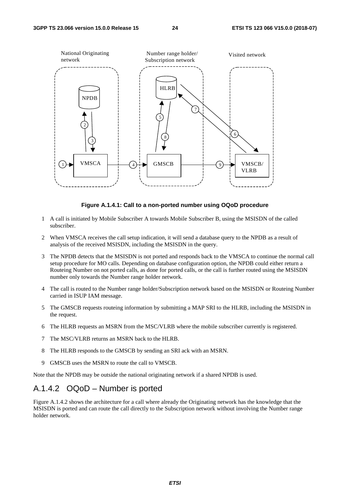

#### **Figure A.1.4.1: Call to a non-ported number using OQoD procedure**

- 1 A call is initiated by Mobile Subscriber A towards Mobile Subscriber B, using the MSISDN of the called subscriber.
- 2 When VMSCA receives the call setup indication, it will send a database query to the NPDB as a result of analysis of the received MSISDN, including the MSISDN in the query.
- 3 The NPDB detects that the MSISDN is not ported and responds back to the VMSCA to continue the normal call setup procedure for MO calls. Depending on database configuration option, the NPDB could either return a Routeing Number on not ported calls, as done for ported calls, or the call is further routed using the MSISDN number only towards the Number range holder network.
- 4 The call is routed to the Number range holder/Subscription network based on the MSISDN or Routeing Number carried in ISUP IAM message.
- 5 The GMSCB requests routeing information by submitting a MAP SRI to the HLRB, including the MSISDN in the request.
- 6 The HLRB requests an MSRN from the MSC/VLRB where the mobile subscriber currently is registered.
- 7 The MSC/VLRB returns an MSRN back to the HLRB.
- 8 The HLRB responds to the GMSCB by sending an SRI ack with an MSRN.
- 9 GMSCB uses the MSRN to route the call to VMSCB.

Note that the NPDB may be outside the national originating network if a shared NPDB is used.

### A.1.4.2 OQoD – Number is ported

Figure A.1.4.2 shows the architecture for a call where already the Originating network has the knowledge that the MSISDN is ported and can route the call directly to the Subscription network without involving the Number range holder network.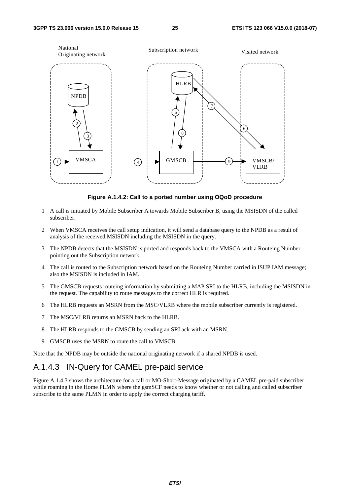

**Figure A.1.4.2: Call to a ported number using OQoD procedure** 

- 1 A call is initiated by Mobile Subscriber A towards Mobile Subscriber B, using the MSISDN of the called subscriber.
- 2 When VMSCA receives the call setup indication, it will send a database query to the NPDB as a result of analysis of the received MSISDN including the MSISDN in the query.
- 3 The NPDB detects that the MSISDN is ported and responds back to the VMSCA with a Routeing Number pointing out the Subscription network.
- 4 The call is routed to the Subscription network based on the Routeing Number carried in ISUP IAM message; also the MSISDN is included in IAM.
- 5 The GMSCB requests routeing information by submitting a MAP SRI to the HLRB, including the MSISDN in the request. The capability to route messages to the correct HLR is required.
- 6 The HLRB requests an MSRN from the MSC/VLRB where the mobile subscriber currently is registered.
- 7 The MSC/VLRB returns an MSRN back to the HLRB.
- 8 The HLRB responds to the GMSCB by sending an SRI ack with an MSRN.
- 9 GMSCB uses the MSRN to route the call to VMSCB.

Note that the NPDB may be outside the national originating network if a shared NPDB is used.

### A.1.4.3 IN-Query for CAMEL pre-paid service

Figure A.1.4.3 shows the architecture for a call or MO-Short-Message originated by a CAMEL pre-paid subscriber while roaming in the Home PLMN where the gsmSCF needs to know whether or not calling and called subscriber subscribe to the same PLMN in order to apply the correct charging tariff.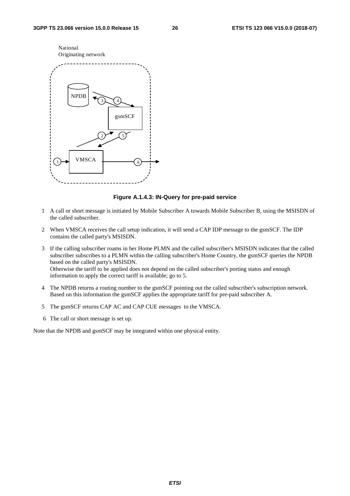

#### **Figure A.1.4.3: IN-Query for pre-paid service**

- 1 A call or short message is initiated by Mobile Subscriber A towards Mobile Subscriber B, using the MSISDN of the called subscriber.
- 2 When VMSCA receives the call setup indication, it will send a CAP IDP message to the gsmSCF. The IDP contains the called party's MSISDN.
- 3 If the calling subscriber roams in her Home PLMN and the called subscriber's MSISDN indicates that the called subscriber subscribes to a PLMN within the calling subscriber's Home Country, the gsmSCF queries the NPDB based on the called party's MSISDN. Otherwise the tariff to be applied does not depend on the called subscriber's porting status and enough information to apply the correct tariff is available; go to 5.
- 4 The NPDB returns a routing number to the gsmSCF pointing out the called subscriber's subscription network. Based on this information the gsmSCF applies the appropriate tariff for pre-paid subscriber A.
- 5 The gsmSCF returns CAP AC and CAP CUE messages to the VMSCA.
- 6 The call or short message is set up.

Note that the NPDB and gsmSCF may be integrated within one physical entity.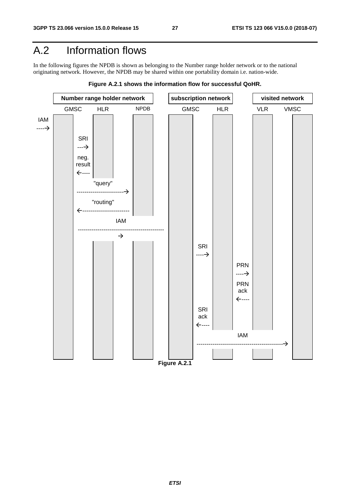## A.2 Information flows

In the following figures the NPDB is shown as belonging to the Number range holder network or to the national originating network. However, the NPDB may be shared within one portability domain i.e. nation-wide.



**Figure A.2.1 shows the information flow for successful QoHR.**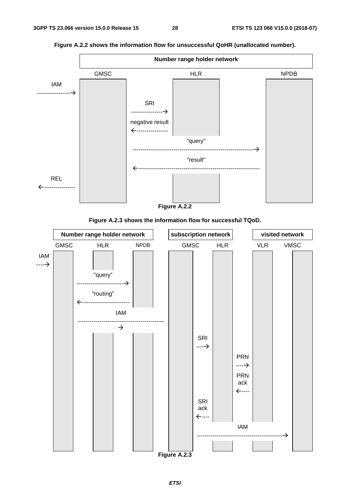

**Figure A.2.2 shows the information flow for unsuccessful QoHR (unallocated number).** 



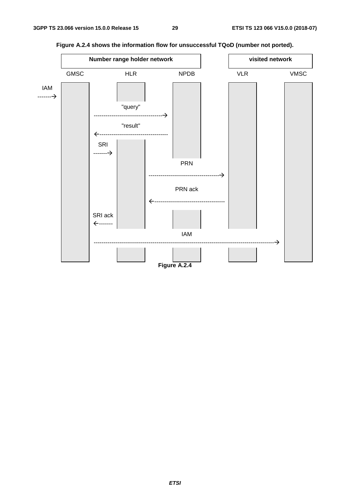

**Figure A.2.4 shows the information flow for unsuccessful TQoD (number not ported).**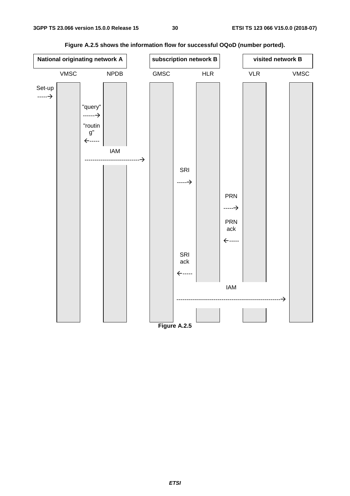

**Figure A.2.5 shows the information flow for successful OQoD (number ported).**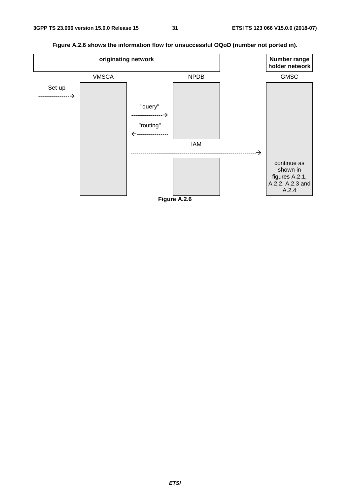

**Figure A.2.6 shows the information flow for unsuccessful OQoD (number not ported in).** 

**Figure A.2.6**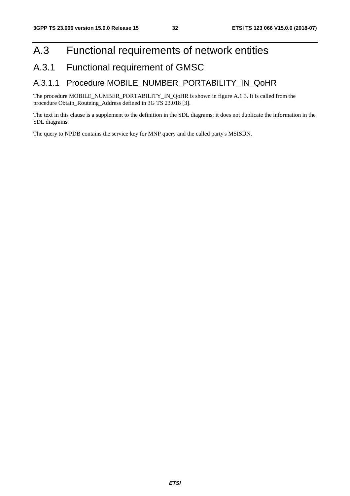## A.3 Functional requirements of network entities

## A.3.1 Functional requirement of GMSC

### A.3.1.1 Procedure MOBILE\_NUMBER\_PORTABILITY\_IN\_QoHR

The procedure MOBILE\_NUMBER\_PORTABILITY\_IN\_QoHR is shown in figure A.1.3. It is called from the procedure Obtain\_Routeing\_Address defined in 3G TS 23.018 [3].

The text in this clause is a supplement to the definition in the SDL diagrams; it does not duplicate the information in the SDL diagrams.

The query to NPDB contains the service key for MNP query and the called party's MSISDN.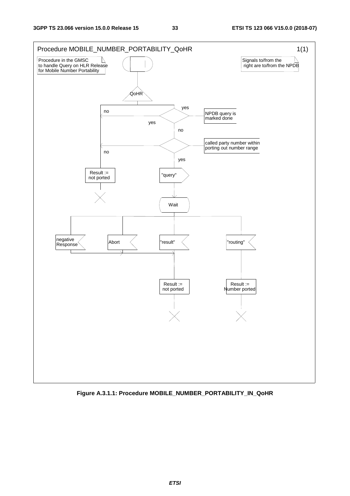

**Figure A.3.1.1: Procedure MOBILE\_NUMBER\_PORTABILITY\_IN\_QoHR**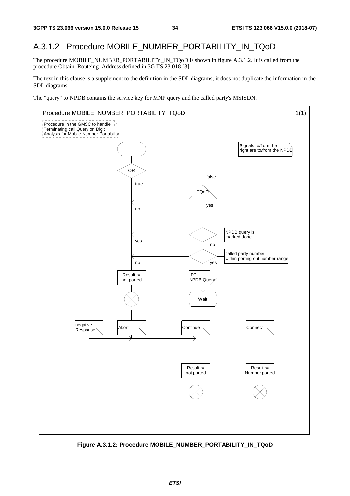### A.3.1.2 Procedure MOBILE\_NUMBER\_PORTABILITY\_IN\_TQoD

The procedure MOBILE\_NUMBER\_PORTABILITY\_IN\_TQoD is shown in figure A.3.1.2. It is called from the procedure Obtain\_Routeing\_Address defined in 3G TS 23.018 [3].

The text in this clause is a supplement to the definition in the SDL diagrams; it does not duplicate the information in the SDL diagrams.

The "query" to NPDB contains the service key for MNP query and the called party's MSISDN.



**Figure A.3.1.2: Procedure MOBILE\_NUMBER\_PORTABILITY\_IN\_TQoD**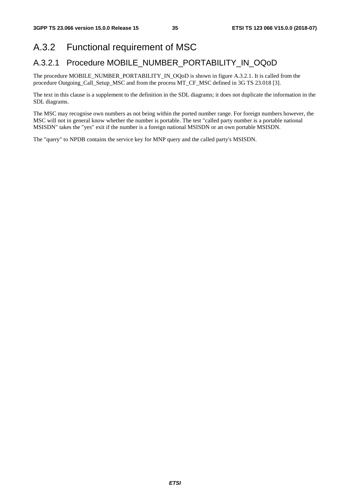### A.3.2 Functional requirement of MSC

### A.3.2.1 Procedure MOBILE\_NUMBER\_PORTABILITY\_IN\_OQoD

The procedure MOBILE\_NUMBER\_PORTABILITY\_IN\_OQoD is shown in figure A.3.2.1. It is called from the procedure Outgoing\_Call\_Setup\_MSC and from the process MT\_CF\_MSC defined in 3G TS 23.018 [3].

The text in this clause is a supplement to the definition in the SDL diagrams; it does not duplicate the information in the SDL diagrams.

The MSC may recognise own numbers as not being within the ported number range. For foreign numbers however, the MSC will not in general know whether the number is portable. The test "called party number is a portable national MSISDN" takes the "yes" exit if the number is a foreign national MSISDN or an own portable MSISDN.

The "query" to NPDB contains the service key for MNP query and the called party's MSISDN.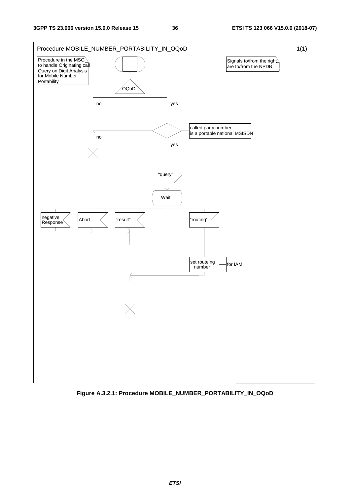

**Figure A.3.2.1: Procedure MOBILE\_NUMBER\_PORTABILITY\_IN\_OQoD**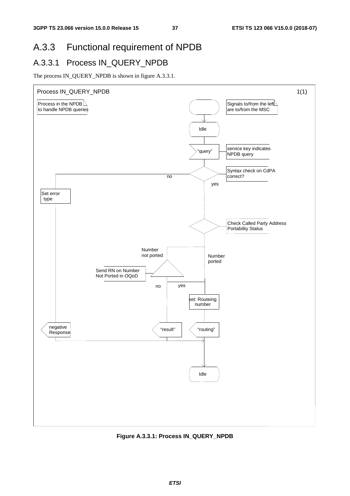# A.3.3 Functional requirement of NPDB

### A.3.3.1 Process IN\_QUERY\_NPDB

The process IN\_QUERY\_NPDB is shown in figure A.3.3.1.



**Figure A.3.3.1: Process IN\_QUERY\_NPDB**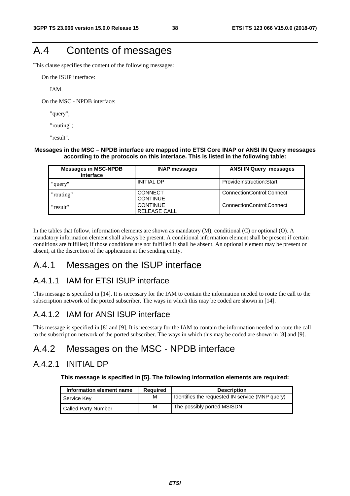# A.4 Contents of messages

This clause specifies the content of the following messages:

On the ISUP interface:

IAM.

On the MSC - NPDB interface:

"query";

"routing";

"result".

#### **Messages in the MSC – NPDB interface are mapped into ETSI Core INAP or ANSI IN Query messages according to the protocols on this interface. This is listed in the following table:**

| <b>Messages in MSC-NPDB</b><br>interface | <b>INAP messages</b>                   | <b>ANSI IN Query messages</b> |
|------------------------------------------|----------------------------------------|-------------------------------|
| "query"                                  | <b>INITIAL DP</b>                      | ProvideInstruction:Start      |
| "routing"                                | <b>CONNECT</b><br><b>CONTINUE</b>      | ConnectionControl:Connect     |
| "result"                                 | <b>CONTINUE</b><br><b>RELEASE CALL</b> | ConnectionControl:Connect     |

In the tables that follow, information elements are shown as mandatory (M), conditional (C) or optional (O). A mandatory information element shall always be present. A conditional information element shall be present if certain conditions are fulfilled; if those conditions are not fulfilled it shall be absent. An optional element may be present or absent, at the discretion of the application at the sending entity.

#### A.4.1 Messages on the ISUP interface

#### A.4.1.1 IAM for ETSI ISUP interface

This message is specified in [14]. It is necessary for the IAM to contain the information needed to route the call to the subscription network of the ported subscriber. The ways in which this may be coded are shown in [14].

#### A.4.1.2 IAM for ANSI ISUP interface

This message is specified in [8] and [9]. It is necessary for the IAM to contain the information needed to route the call to the subscription network of the ported subscriber. The ways in which this may be coded are shown in [8] and [9].

### A.4.2 Messages on the MSC - NPDB interface

#### A.4.2.1 INITIAL DP

**This message is specified in [5]. The following information elements are required:** 

| Information element name | <b>Required</b> | <b>Description</b>                              |
|--------------------------|-----------------|-------------------------------------------------|
| Service Key              | M               | Identifies the requested IN service (MNP query) |
| Called Party Number      | M               | The possibly ported MSISDN                      |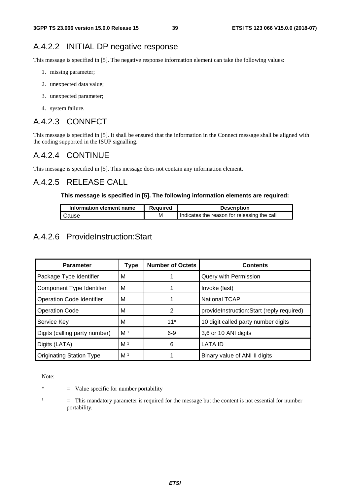### A.4.2.2 INITIAL DP negative response

This message is specified in [5]. The negative response information element can take the following values:

- 1. missing parameter;
- 2. unexpected data value;
- 3. unexpected parameter;
- 4. system failure.

#### A.4.2.3 CONNECT

This message is specified in [5]. It shall be ensured that the information in the Connect message shall be aligned with the coding supported in the ISUP signalling.

#### A.4.2.4 CONTINUE

This message is specified in [5]. This message does not contain any information element.

#### A.4.2.5 RELEASE CALL

#### **This message is specified in [5]. The following information elements are required:**

| Information element name | <b>Required</b> | <b>Description</b>                          |
|--------------------------|-----------------|---------------------------------------------|
| Cause                    | м               | Indicates the reason for releasing the call |

#### A.4.2.6 ProvideInstruction:Start

| <b>Parameter</b>                 | Type           | <b>Number of Octets</b> | <b>Contents</b>                           |
|----------------------------------|----------------|-------------------------|-------------------------------------------|
| Package Type Identifier          | М              |                         | Query with Permission                     |
| Component Type Identifier        | M              |                         | Invoke (last)                             |
| <b>Operation Code Identifier</b> | м              |                         | <b>National TCAP</b>                      |
| <b>Operation Code</b>            | м              | 2                       | provideInstruction:Start (reply required) |
| Service Key                      | м              | $11*$                   | 10 digit called party number digits       |
| Digits (calling party number)    | M <sup>1</sup> | $6-9$                   | 3,6 or 10 ANI digits                      |
| Digits (LATA)                    | M <sup>1</sup> | 6                       | <b>LATA ID</b>                            |
| <b>Originating Station Type</b>  | M <sup>1</sup> |                         | Binary value of ANI II digits             |

Note:

- $*$  = Value specific for number portability
- 1

 = This mandatory parameter is required for the message but the content is not essential for number portability.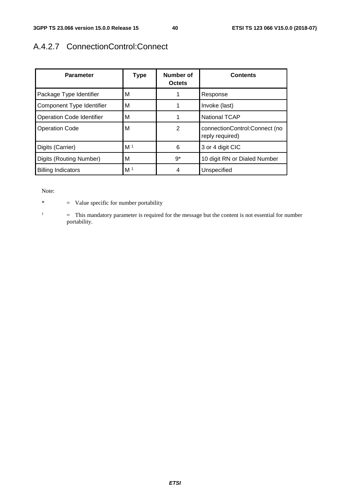## A.4.2.7 ConnectionControl:Connect

| <b>Parameter</b>                 | Type           | Number of<br><b>Octets</b> | <b>Contents</b>                                  |
|----------------------------------|----------------|----------------------------|--------------------------------------------------|
| Package Type Identifier          | М              |                            | Response                                         |
| Component Type Identifier        | м              |                            | Invoke (last)                                    |
| <b>Operation Code Identifier</b> | M              | 1                          | <b>National TCAP</b>                             |
| <b>Operation Code</b>            | М              | $\mathfrak{p}$             | connectionControl:Connect (no<br>reply required) |
| Digits (Carrier)                 | M <sup>1</sup> | 6                          | 3 or 4 digit CIC                                 |
| Digits (Routing Number)          | M              | $9^*$                      | 10 digit RN or Dialed Number                     |
| <b>Billing Indicators</b>        | M <sup>1</sup> | 4                          | Unspecified                                      |

Note:

\* = Value specific for number portability

1 = This mandatory parameter is required for the message but the content is not essential for number portability.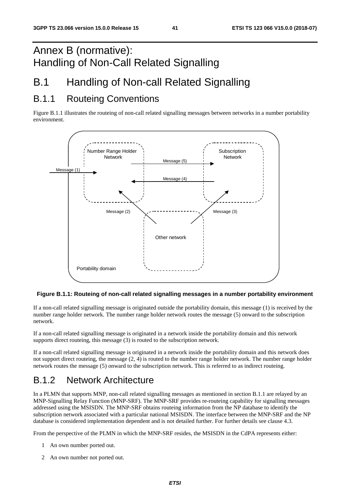# Annex B (normative): Handling of Non-Call Related Signalling

# B.1 Handling of Non-call Related Signalling

## B.1.1 Routeing Conventions

Figure B.1.1 illustrates the routeing of non-call related signalling messages between networks in a number portability environment.



#### **Figure B.1.1: Routeing of non-call related signalling messages in a number portability environment**

If a non-call related signalling message is originated outside the portability domain, this message (1) is received by the number range holder network. The number range holder network routes the message (5) onward to the subscription network.

If a non-call related signalling message is originated in a network inside the portability domain and this network supports direct routeing, this message (3) is routed to the subscription network.

If a non-call related signalling message is originated in a network inside the portability domain and this network does not support direct routeing, the message (2, 4) is routed to the number range holder network. The number range holder network routes the message (5) onward to the subscription network. This is referred to as indirect routeing.

# B.1.2 Network Architecture

In a PLMN that supports MNP, non-call related signalling messages as mentioned in section B.1.1 are relayed by an MNP-Signalling Relay Function (MNP-SRF). The MNP-SRF provides re-routeing capability for signalling messages addressed using the MSISDN. The MNP-SRF obtains routeing information from the NP database to identify the subscription network associated with a particular national MSISDN. The interface between the MNP-SRF and the NP database is considered implementation dependent and is not detailed further. For further details see clause 4.3.

From the perspective of the PLMN in which the MNP-SRF resides, the MSISDN in the CdPA represents either:

- 1 An own number ported out.
- 2 An own number not ported out.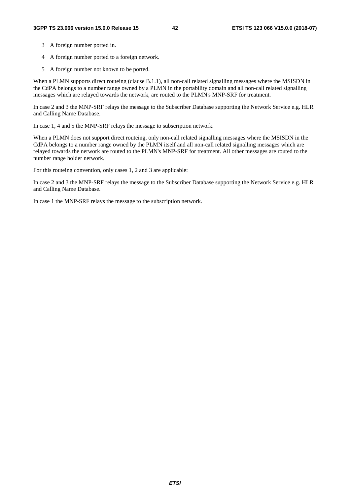- 3 A foreign number ported in.
- 4 A foreign number ported to a foreign network.
- 5 A foreign number not known to be ported.

When a PLMN supports direct routeing (clause B.1.1), all non-call related signalling messages where the MSISDN in the CdPA belongs to a number range owned by a PLMN in the portability domain and all non-call related signalling messages which are relayed towards the network, are routed to the PLMN's MNP-SRF for treatment.

In case 2 and 3 the MNP-SRF relays the message to the Subscriber Database supporting the Network Service e.g. HLR and Calling Name Database.

In case 1, 4 and 5 the MNP-SRF relays the message to subscription network.

When a PLMN does not support direct routeing, only non-call related signalling messages where the MSISDN in the CdPA belongs to a number range owned by the PLMN itself and all non-call related signalling messages which are relayed towards the network are routed to the PLMN's MNP-SRF for treatment. All other messages are routed to the number range holder network.

For this routeing convention, only cases 1, 2 and 3 are applicable:

In case 2 and 3 the MNP-SRF relays the message to the Subscriber Database supporting the Network Service e.g. HLR and Calling Name Database.

In case 1 the MNP-SRF relays the message to the subscription network.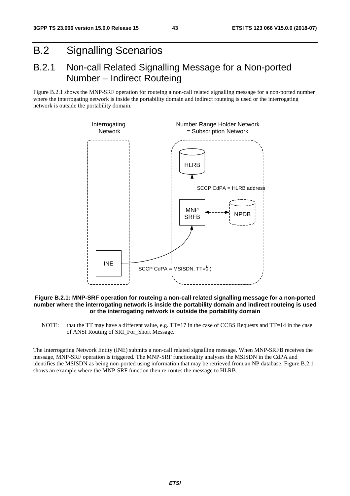# B.2 Signalling Scenarios

### B.2.1 Non-call Related Signalling Message for a Non-ported Number – Indirect Routeing

Figure B.2.1 shows the MNP-SRF operation for routeing a non-call related signalling message for a non-ported number where the interrogating network is inside the portability domain and indirect routeing is used or the interrogating network is outside the portability domain.



#### **Figure B.2.1: MNP-SRF operation for routeing a non-call related signalling message for a non-ported number where the interrogating network is inside the portability domain and indirect routeing is used or the interrogating network is outside the portability domain**

NOTE: that the TT may have a different value, e.g. TT=17 in the case of CCBS Requests and TT=14 in the case of ANSI Routing of SRI\_For\_Short Message.

The Interrogating Network Entity (INE) submits a non-call related signalling message. When MNP-SRFB receives the message, MNP-SRF operation is triggered. The MNP-SRF functionality analyses the MSISDN in the CdPA and identifies the MSISDN as being non-ported using information that may be retrieved from an NP database. Figure B.2.1 shows an example where the MNP-SRF function then re-routes the message to HLRB.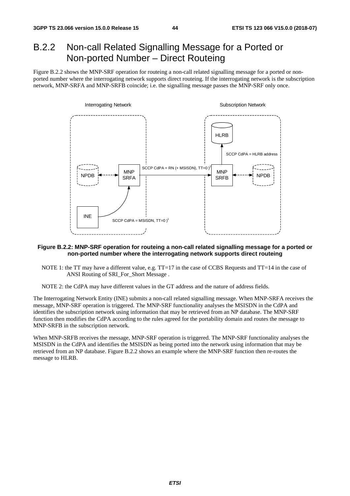## B.2.2 Non-call Related Signalling Message for a Ported or Non-ported Number – Direct Routeing

Figure B.2.2 shows the MNP-SRF operation for routeing a non-call related signalling message for a ported or nonported number where the interrogating network supports direct routeing. If the interrogating network is the subscription network, MNP-SRFA and MNP-SRFB coincide; i.e. the signalling message passes the MNP-SRF only once.



#### **Figure B.2.2: MNP-SRF operation for routeing a non-call related signalling message for a ported or non-ported number where the interrogating network supports direct routeing**

- NOTE 1: the TT may have a different value, e.g. TT=17 in the case of CCBS Requests and TT=14 in the case of ANSI Routing of SRI\_For\_Short Message .
- NOTE 2: the CdPA may have different values in the GT address and the nature of address fields.

The Interrogating Network Entity (INE) submits a non-call related signalling message. When MNP-SRFA receives the message, MNP-SRF operation is triggered. The MNP-SRF functionality analyses the MSISDN in the CdPA and identifies the subscription network using information that may be retrieved from an NP database. The MNP-SRF function then modifies the CdPA according to the rules agreed for the portability domain and routes the message to MNP-SRFB in the subscription network.

When MNP-SRFB receives the message, MNP-SRF operation is triggered. The MNP-SRF functionality analyses the MSISDN in the CdPA and identifies the MSISDN as being ported into the network using information that may be retrieved from an NP database. Figure B.2.2 shows an example where the MNP-SRF function then re-routes the message to HLRB.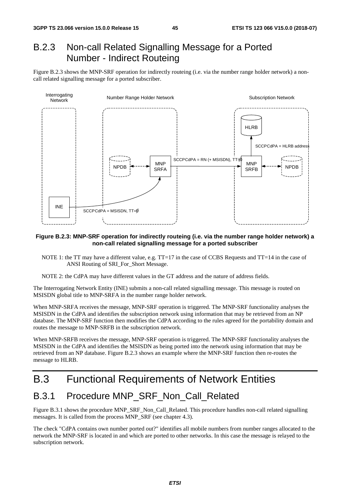## B.2.3 Non-call Related Signalling Message for a Ported Number - Indirect Routeing

Figure B.2.3 shows the MNP-SRF operation for indirectly routeing (i.e. via the number range holder network) a noncall related signalling message for a ported subscriber.



#### **Figure B.2.3: MNP-SRF operation for indirectly routeing (i.e. via the number range holder network) a non-call related signalling message for a ported subscriber**

- NOTE 1: the TT may have a different value, e.g. TT=17 in the case of CCBS Requests and TT=14 in the case of ANSI Routing of SRI\_For\_Short Message.
- NOTE 2: the CdPA may have different values in the GT address and the nature of address fields.

The Interrogating Network Entity (INE) submits a non-call related signalling message. This message is routed on MSISDN global title to MNP-SRFA in the number range holder network.

When MNP-SRFA receives the message, MNP-SRF operation is triggered. The MNP-SRF functionality analyses the MSISDN in the CdPA and identifies the subscription network using information that may be retrieved from an NP database. The MNP-SRF function then modifies the CdPA according to the rules agreed for the portability domain and routes the message to MNP-SRFB in the subscription network.

When MNP-SRFB receives the message, MNP-SRF operation is triggered. The MNP-SRF functionality analyses the MSISDN in the CdPA and identifies the MSISDN as being ported into the network using information that may be retrieved from an NP database. Figure B.2.3 shows an example where the MNP-SRF function then re-routes the message to HLRB.

## B.3 Functional Requirements of Network Entities

#### B.3.1 Procedure MNP\_SRF\_Non\_Call\_Related

Figure B.3.1 shows the procedure MNP\_SRF\_Non\_Call\_Related. This procedure handles non-call related signalling messages. It is called from the process MNP\_SRF (see chapter 4.3).

The check "CdPA contains own number ported out?" identifies all mobile numbers from number ranges allocated to the network the MNP-SRF is located in and which are ported to other networks. In this case the message is relayed to the subscription network.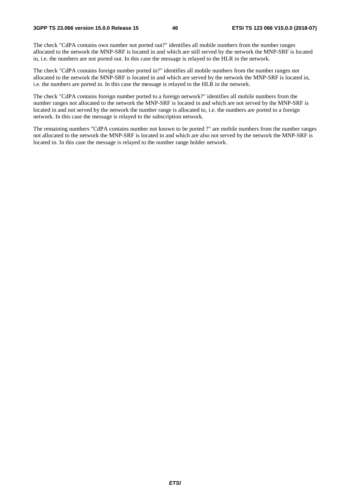The check "CdPA contains own number not ported out?" identifies all mobile numbers from the number ranges allocated to the network the MNP-SRF is located in and which are still served by the network the MNP-SRF is located in, i.e. the numbers are not ported out. In this case the message is relayed to the HLR in the network.

The check "CdPA contains foreign number ported in?" identifies all mobile numbers from the number ranges not allocated to the network the MNP-SRF is located in and which are served by the network the MNP-SRF is located in, i.e. the numbers are ported in. In this case the message is relayed to the HLR in the network.

The check "CdPA contains foreign number ported to a foreign network?" identifies all mobile numbers from the number ranges not allocated to the network the MNP-SRF is located in and which are not served by the MNP-SRF is located in and not served by the network the number range is allocated to, i.e. the numbers are ported to a foreign network. In this case the message is relayed to the subscription network.

The remaining numbers "CdPA contains number not known to be ported ?" are mobile numbers from the number ranges not allocated to the network the MNP-SRF is located in and which are also not served by the network the MNP-SRF is located in. In this case the message is relayed to the number range holder network.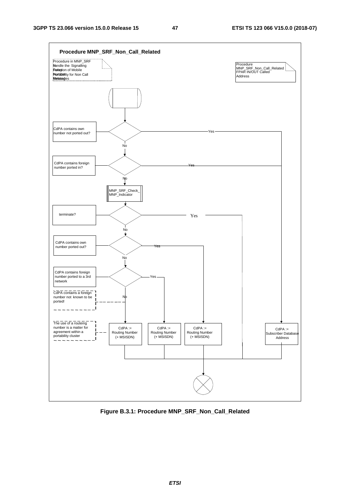

**Figure B.3.1: Procedure MNP\_SRF\_Non\_Call\_Related**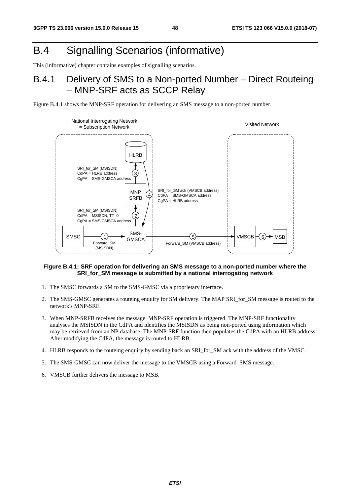# B.4 Signalling Scenarios (informative)

This (informative) chapter contains examples of signalling scenarios.

### B.4.1 Delivery of SMS to a Non-ported Number – Direct Routeing – MNP-SRF acts as SCCP Relay

Figure B.4.1 shows the MNP-SRF operation for delivering an SMS message to a non-ported number.



#### **Figure B.4.1: SRF operation for delivering an SMS message to a non-ported number where the SRI\_for\_SM message is submitted by a national interrogating network**

- 1. The SMSC forwards a SM to the SMS-GMSC via a proprietary interface.
- 2. The SMS-GMSC generates a routeing enquiry for SM delivery. The MAP SRI\_for\_SM message is routed to the network's MNP-SRF.
- 3. When MNP-SRFB receives the message, MNP-SRF operation is triggered. The MNP-SRF functionality analyses the MSISDN in the CdPA and identifies the MSISDN as being non-ported using information which may be retrieved from an NP database. The MNP-SRF function then populates the CdPA with an HLRB address. After modifying the CdPA, the message is routed to HLRB.
- 4. HLRB responds to the routeing enquiry by sending back an SRI\_for\_SM ack with the address of the VMSC.
- 5. The SMS-GMSC can now deliver the message to the VMSCB using a Forward\_SMS message.
- 6. VMSCB further delivers the message to MSB.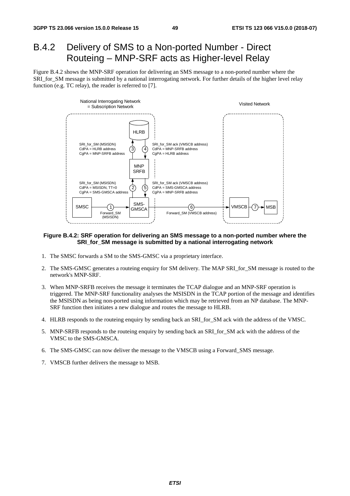### B.4.2 Delivery of SMS to a Non-ported Number - Direct Routeing – MNP-SRF acts as Higher-level Relay

Figure B.4.2 shows the MNP-SRF operation for delivering an SMS message to a non-ported number where the SRI\_for\_SM message is submitted by a national interrogating network. For further details of the higher level relay function (e.g. TC relay), the reader is referred to [7].



#### **Figure B.4.2: SRF operation for delivering an SMS message to a non-ported number where the SRI\_for\_SM message is submitted by a national interrogating network**

- 1. The SMSC forwards a SM to the SMS-GMSC via a proprietary interface.
- 2. The SMS-GMSC generates a routeing enquiry for SM delivery. The MAP SRI\_for\_SM message is routed to the network's MNP-SRF.
- 3. When MNP-SRFB receives the message it terminates the TCAP dialogue and an MNP-SRF operation is triggered. The MNP-SRF functionality analyses the MSISDN in the TCAP portion of the message and identifies the MSISDN as being non-ported using information which may be retrieved from an NP database. The MNP-SRF function then initiates a new dialogue and routes the message to HLRB.
- 4. HLRB responds to the routeing enquiry by sending back an SRI\_for\_SM ack with the address of the VMSC.
- 5. MNP-SRFB responds to the routeing enquiry by sending back an SRI\_for\_SM ack with the address of the VMSC to the SMS-GMSCA.
- 6. The SMS-GMSC can now deliver the message to the VMSCB using a Forward\_SMS message.
- 7. VMSCB further delivers the message to MSB.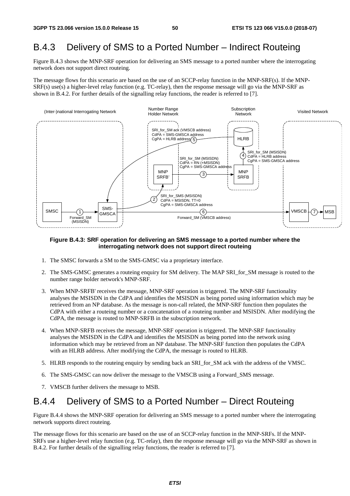### B.4.3 Delivery of SMS to a Ported Number – Indirect Routeing

Figure B.4.3 shows the MNP-SRF operation for delivering an SMS message to a ported number where the interrogating network does not support direct routeing.

The message flows for this scenario are based on the use of an SCCP-relay function in the MNP-SRF(s). If the MNP-SRF(s) use(s) a higher-level relay function (e.g. TC-relay), then the response message will go via the MNP-SRF as shown in B.4.2. For further details of the signalling relay functions, the reader is referred to [7].



#### **Figure B.4.3: SRF operation for delivering an SMS message to a ported number where the interrogating network does not support direct routeing**

- 1. The SMSC forwards a SM to the SMS-GMSC via a proprietary interface.
- 2. The SMS-GMSC generates a routeing enquiry for SM delivery. The MAP SRI\_for\_SM message is routed to the number range holder network's MNP-SRF.
- 3. When MNP-SRFB' receives the message, MNP-SRF operation is triggered. The MNP-SRF functionality analyses the MSISDN in the CdPA and identifies the MSISDN as being ported using information which may be retrieved from an NP database. As the message is non-call related, the MNP-SRF function then populates the CdPA with either a routeing number or a concatenation of a routeing number and MSISDN. After modifying the CdPA, the message is routed to MNP-SRFB in the subscription network.
- 4. When MNP-SRFB receives the message, MNP-SRF operation is triggered. The MNP-SRF functionality analyses the MSISDN in the CdPA and identifies the MSISDN as being ported into the network using information which may be retrieved from an NP database. The MNP-SRF function then populates the CdPA with an HLRB address. After modifying the CdPA, the message is routed to HLRB.
- 5. HLRB responds to the routeing enquiry by sending back an SRI\_for\_SM ack with the address of the VMSC.
- 6. The SMS-GMSC can now deliver the message to the VMSCB using a Forward\_SMS message.
- 7. VMSCB further delivers the message to MSB.

#### B.4.4 Delivery of SMS to a Ported Number – Direct Routeing

Figure B.4.4 shows the MNP-SRF operation for delivering an SMS message to a ported number where the interrogating network supports direct routeing.

The message flows for this scenario are based on the use of an SCCP-relay function in the MNP-SRFs. If the MNP-SRFs use a higher-level relay function (e.g. TC-relay), then the response message will go via the MNP-SRF as shown in B.4.2. For further details of the signalling relay functions, the reader is referred to [7].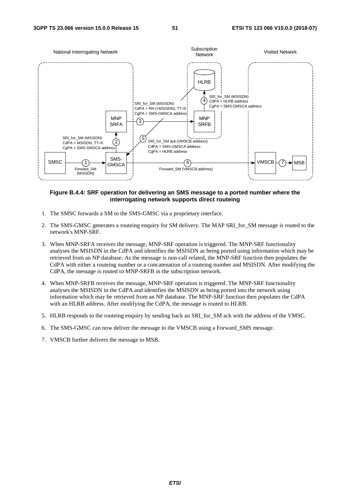

#### **Figure B.4.4: SRF operation for delivering an SMS message to a ported number where the interrogating network supports direct routeing**

- 1. The SMSC forwards a SM to the SMS-GMSC via a proprietary interface.
- 2. The SMS-GMSC generates a routeing enquiry for SM delivery. The MAP SRI\_for\_SM message is routed to the network's MNP-SRF.
- 3. When MNP-SRFA receives the message, MNP-SRF operation is triggered. The MNP-SRF functionality analyses the MSISDN in the CdPA and identifies the MSISDN as being ported using information which may be retrieved from an NP database. As the message is non-call related, the MNP-SRF function then populates the CdPA with either a routeing number or a concatenation of a routeing number and MSISDN. After modifying the CdPA, the message is routed to MNP-SRFB in the subscription network.
- 4. When MNP-SRFB receives the message, MNP-SRF operation is triggered. The MNP-SRF functionality analyses the MSISDN in the CdPA and identifies the MSISDN as being ported into the network using information which may be retrieved from an NP database. The MNP-SRF function then populates the CdPA with an HLRB address. After modifying the CdPA, the message is routed to HLRB.
- 5. HLRB responds to the routeing enquiry by sending back an SRI\_for\_SM ack with the address of the VMSC.
- 6. The SMS-GMSC can now deliver the message to the VMSCB using a Forward\_SMS message.
- 7. VMSCB further delivers the message to MSB.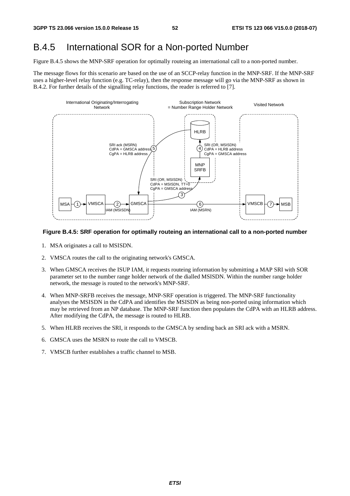### B.4.5 International SOR for a Non-ported Number

Figure B.4.5 shows the MNP-SRF operation for optimally routeing an international call to a non-ported number.

The message flows for this scenario are based on the use of an SCCP-relay function in the MNP-SRF. If the MNP-SRF uses a higher-level relay function (e.g. TC-relay), then the response message will go via the MNP-SRF as shown in B.4.2. For further details of the signalling relay functions, the reader is referred to [7].



#### **Figure B.4.5: SRF operation for optimally routeing an international call to a non-ported number**

- 1. MSA originates a call to MSISDN.
- 2. VMSCA routes the call to the originating network's GMSCA.
- 3. When GMSCA receives the ISUP IAM, it requests routeing information by submitting a MAP SRI with SOR parameter set to the number range holder network of the dialled MSISDN. Within the number range holder network, the message is routed to the network's MNP-SRF.
- 4. When MNP-SRFB receives the message, MNP-SRF operation is triggered. The MNP-SRF functionality analyses the MSISDN in the CdPA and identifies the MSISDN as being non-ported using information which may be retrieved from an NP database. The MNP-SRF function then populates the CdPA with an HLRB address. After modifying the CdPA, the message is routed to HLRB.
- 5. When HLRB receives the SRI, it responds to the GMSCA by sending back an SRI ack with a MSRN.
- 6. GMSCA uses the MSRN to route the call to VMSCB.
- 7. VMSCB further establishes a traffic channel to MSB.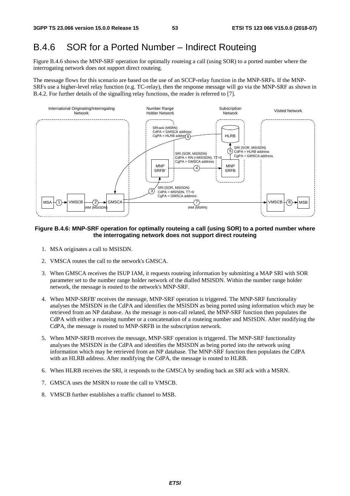## B.4.6 SOR for a Ported Number – Indirect Routeing

Figure B.4.6 shows the MNP-SRF operation for optimally routeing a call (using SOR) to a ported number where the interrogating network does not support direct routeing.

The message flows for this scenario are based on the use of an SCCP-relay function in the MNP-SRFs. If the MNP-SRFs use a higher-level relay function (e.g. TC-relay), then the response message will go via the MNP-SRF as shown in B.4.2. For further details of the signalling relay functions, the reader is referred to [7].



#### **Figure B.4.6: MNP-SRF operation for optimally routeing a call (using SOR) to a ported number where the interrogating network does not support direct routeing**

- 1. MSA originates a call to MSISDN.
- 2. VMSCA routes the call to the network's GMSCA.
- 3. When GMSCA receives the ISUP IAM, it requests routeing information by submitting a MAP SRI with SOR parameter set to the number range holder network of the dialled MSISDN. Within the number range holder network, the message is routed to the network's MNP-SRF.
- 4. When MNP-SRFB' receives the message, MNP-SRF operation is triggered. The MNP-SRF functionality analyses the MSISDN in the CdPA and identifies the MSISDN as being ported using information which may be retrieved from an NP database. As the message is non-call related, the MNP-SRF function then populates the CdPA with either a routeing number or a concatenation of a routeing number and MSISDN. After modifying the CdPA, the message is routed to MNP-SRFB in the subscription network.
- 5. When MNP-SRFB receives the message, MNP-SRF operation is triggered. The MNP-SRF functionality analyses the MSISDN in the CdPA and identifies the MSISDN as being ported into the network using information which may be retrieved from an NP database. The MNP-SRF function then populates the CdPA with an HLRB address. After modifying the CdPA, the message is routed to HLRB.
- 6. When HLRB receives the SRI, it responds to the GMSCA by sending back an SRI ack with a MSRN.
- 7. GMSCA uses the MSRN to route the call to VMSCB.
- 8. VMSCB further establishes a traffic channel to MSB.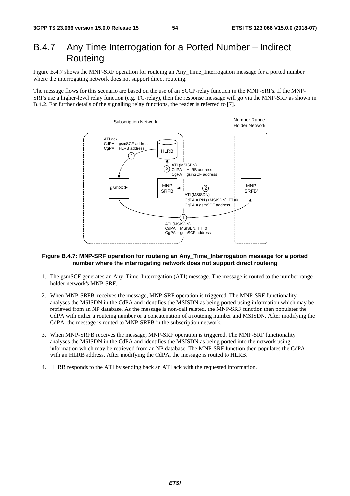### B.4.7 Any Time Interrogation for a Ported Number – Indirect **Routeing**

Figure B.4.7 shows the MNP-SRF operation for routeing an Any\_Time\_Interrogation message for a ported number where the interrogating network does not support direct routeing.

The message flows for this scenario are based on the use of an SCCP-relay function in the MNP-SRFs. If the MNP-SRFs use a higher-level relay function (e.g. TC-relay), then the response message will go via the MNP-SRF as shown in B.4.2. For further details of the signalling relay functions, the reader is referred to [7].



#### **Figure B.4.7: MNP-SRF operation for routeing an Any\_Time\_Interrogation message for a ported number where the interrogating network does not support direct routeing**

- 1. The gsmSCF generates an Any\_Time\_Interrogation (ATI) message. The message is routed to the number range holder network's MNP-SRF.
- 2. When MNP-SRFB' receives the message, MNP-SRF operation is triggered. The MNP-SRF functionality analyses the MSISDN in the CdPA and identifies the MSISDN as being ported using information which may be retrieved from an NP database. As the message is non-call related, the MNP-SRF function then populates the CdPA with either a routeing number or a concatenation of a routeing number and MSISDN. After modifying the CdPA, the message is routed to MNP-SRFB in the subscription network.
- 3. When MNP-SRFB receives the message, MNP-SRF operation is triggered. The MNP-SRF functionality analyses the MSISDN in the CdPA and identifies the MSISDN as being ported into the network using information which may be retrieved from an NP database. The MNP-SRF function then populates the CdPA with an HLRB address. After modifying the CdPA, the message is routed to HLRB.
- 4. HLRB responds to the ATI by sending back an ATI ack with the requested information.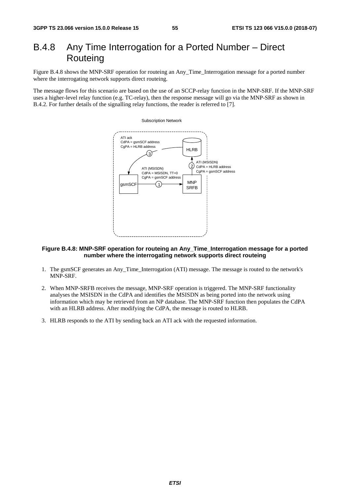## B.4.8 Any Time Interrogation for a Ported Number – Direct **Routeing**

Figure B.4.8 shows the MNP-SRF operation for routeing an Any\_Time\_Interrogation message for a ported number where the interrogating network supports direct routeing.

The message flows for this scenario are based on the use of an SCCP-relay function in the MNP-SRF. If the MNP-SRF uses a higher-level relay function (e.g. TC-relay), then the response message will go via the MNP-SRF as shown in B.4.2. For further details of the signalling relay functions, the reader is referred to [7].

#### Subscription Network



#### **Figure B.4.8: MNP-SRF operation for routeing an Any\_Time\_Interrogation message for a ported number where the interrogating network supports direct routeing**

- 1. The gsmSCF generates an Any\_Time\_Interrogation (ATI) message. The message is routed to the network's MNP-SRF.
- 2. When MNP-SRFB receives the message, MNP-SRF operation is triggered. The MNP-SRF functionality analyses the MSISDN in the CdPA and identifies the MSISDN as being ported into the network using information which may be retrieved from an NP database. The MNP-SRF function then populates the CdPA with an HLRB address. After modifying the CdPA, the message is routed to HLRB.
- 3. HLRB responds to the ATI by sending back an ATI ack with the requested information.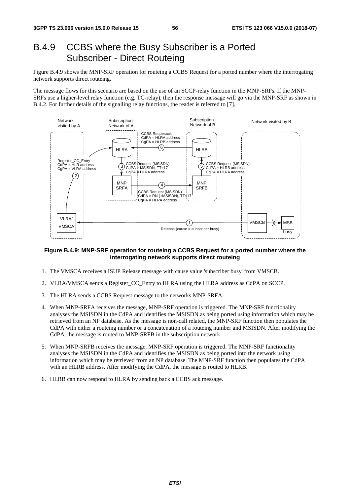### B.4.9 CCBS where the Busy Subscriber is a Ported Subscriber - Direct Routeing

Figure B.4.9 shows the MNP-SRF operation for routeing a CCBS Request for a ported number where the interrogating network supports direct routeing.

The message flows for this scenario are based on the use of an SCCP-relay function in the MNP-SRFs. If the MNP-SRFs use a higher-level relay function (e.g. TC-relay), then the response message will go via the MNP-SRF as shown in B.4.2. For further details of the signalling relay functions, the reader is referred to [7].



#### **Figure B.4.9: MNP-SRF operation for routeing a CCBS Request for a ported number where the interrogating network supports direct routeing**

- 1. The VMSCA receives a ISUP Release message with cause value 'subscriber busy' from VMSCB.
- 2. VLRA/VMSCA sends a Register\_CC\_Entry to HLRA using the HLRA address as CdPA on SCCP.
- 3. The HLRA sends a CCBS Request message to the networks MNP-SRFA.
- 4. When MNP-SRFA receives the message, MNP-SRF operation is triggered. The MNP-SRF functionality analyses the MSISDN in the CdPA and identifies the MSISDN as being ported using information which may be retrieved from an NP database. As the message is non-call related, the MNP-SRF function then populates the CdPA with either a routeing number or a concatenation of a routeing number and MSISDN. After modifying the CdPA, the message is routed to MNP-SRFB in the subscription network.
- 5. When MNP-SRFB receives the message, MNP-SRF operation is triggered. The MNP-SRF functionality analyses the MSISDN in the CdPA and identifies the MSISDN as being ported into the network using information which may be retrieved from an NP database. The MNP-SRF function then populates the CdPA with an HLRB address. After modifying the CdPA, the message is routed to HLRB.
- 6. HLRB can now respond to HLRA by sending back a CCBS ack message.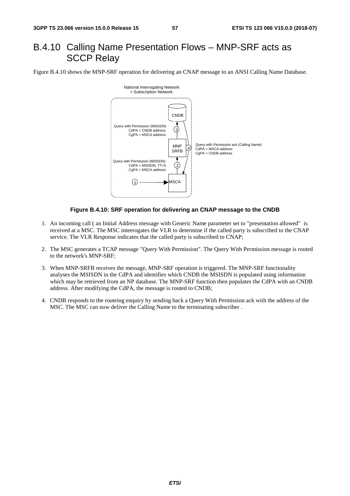## B.4.10 Calling Name Presentation Flows – MNP-SRF acts as SCCP Relay

Figure B.4.10 shows the MNP-SRF operation for delivering an CNAP message to an ANSI Calling Name Database.



#### **Figure B.4.10: SRF operation for delivering an CNAP message to the CNDB**

- 1. An incoming call ( an Initial Address message with Generic Name parameter set to "presentation allowed" is received at a MSC. The MSC inteerogates the VLR to determine if the called party is subscribed to the CNAP service. The VLR Response indicates that the called party is subscribed to CNAP;
- 2. The MSC generates a TCAP message "Query With Permission". The Query With Permission message is routed to the network's MNP-SRF;
- 3. When MNP-SRFB receives the message, MNP-SRF operation is triggered. The MNP-SRF functionality analyses the MSISDN in the CdPA and identifies which CNDB the MSISDN is populated using information which may be retrieved from an NP database. The MNP-SRF function then populates the CdPA with an CNDB address. After modifying the CdPA, the message is routed to CNDB;
- 4. CNDB responds to the routeing enquiry by sending back a Query With Permission ack with the address of the MSC. The MSC can now deliver the Calling Name to the terminating subscriber .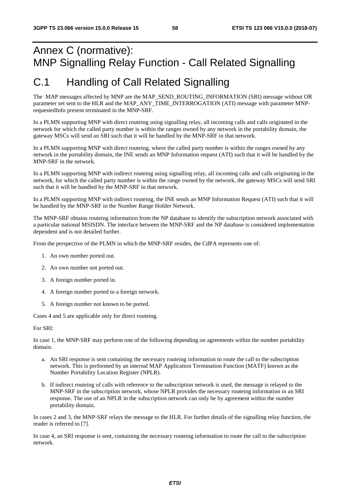# Annex C (normative): MNP Signalling Relay Function - Call Related Signalling

# C.1 Handling of Call Related Signalling

The MAP messages affected by MNP are the MAP\_SEND\_ROUTING\_INFORMATION (SRI) message without OR parameter set sent to the HLR and the MAP\_ANY\_TIME\_INTERROGATION (ATI) message with parameter MNPrequestedInfo present terminated in the MNP-SRF.

In a PLMN supporting MNP with direct routeing using signalling relay, all incoming calls and calls originated in the network for which the called party number is within the ranges owned by any network in the portability domain, the gateway MSCs will send an SRI such that it will be handled by the MNP-SRF in that network.

In a PLMN supporting MNP with direct routeing, where the called party number is within the ranges owned by any network in the portability domain, the INE sends an MNP Information request (ATI) such that it will be handled by the MNP-SRF in the network.

In a PLMN supporting MNP with indirect routeing using signalling relay, all incoming calls and calls originating in the network, for which the called party number is within the range owned by the network, the gateway MSCs will send SRI such that it will be handled by the MNP-SRF in that network.

In a PLMN supporting MNP with indirect routeing, the INE sends an MNP Information Request (ATI) such that it will be handled by the MNP-SRF in the Number Range Holder Network.

The MNP-SRF obtains routeing information from the NP database to identify the subscription network associated with a particular national MSISDN. The interface between the MNP-SRF and the NP database is considered implementation dependent and is not detailed further.

From the perspective of the PLMN in which the MNP-SRF resides, the CdPA represents one of:

- 1. An own number ported out.
- 2. An own number not ported out.
- 3. A foreign number ported in.
- 4. A foreign number ported to a foreign network.
- 5. A foreign number not known to be ported.

Cases 4 and 5 are applicable only for direct routeing.

For SRI:

In case 1, the MNP-SRF may perform one of the following depending on agreements within the number portability domain.

- a. An SRI response is sent containing the necessary routeing information to route the call to the subscription network. This is performed by an internal MAP Application Termination Function (MATF) known as the Number Portability Location Register (NPLR).
- b. If indirect routeing of calls with reference to the subscription network is used, the message is relayed to the MNP-SRF in the subscription network, whose NPLR provides the necessary routeing information in an SRI response. The use of an NPLR in the subscription network can only be by agreement within the number portability domain.

In cases 2 and 3, the MNP-SRF relays the message to the HLR. For further details of the signalling relay function, the reader is referred to [7].

In case 4, an SRI response is sent, containing the necessary routeing information to route the call to the subscription network.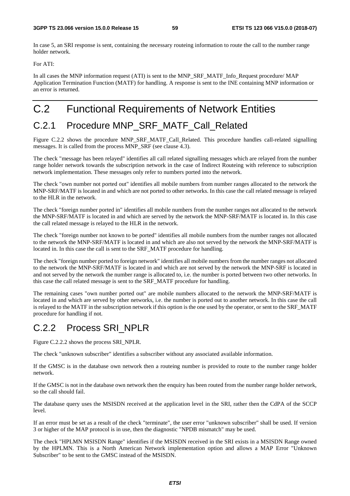In case 5, an SRI response is sent, containing the necessary routeing information to route the call to the number range holder network.

For ATI:

In all cases the MNP information request (ATI) is sent to the MNP\_SRF\_MATF\_Info\_Request procedure/ MAP Application Termination Function (MATF) for handling. A response is sent to the INE containing MNP information or an error is returned.

# C.2 Functional Requirements of Network Entities

## C.2.1 Procedure MNP\_SRF\_MATF\_Call\_Related

Figure C.2.2 shows the procedure MNP\_SRF\_MATF\_Call\_Related. This procedure handles call-related signalling messages. It is called from the process MNP\_SRF (see clause 4.3).

The check "message has been relayed" identifies all call related signalling messages which are relayed from the number range holder network towards the subscription network in the case of Indirect Routeing with reference to subscription network implementation. These messages only refer to numbers ported into the network.

The check "own number not ported out" identifies all mobile numbers from number ranges allocated to the network the MNP-SRF/MATF is located in and which are not ported to other networks. In this case the call related message is relayed to the HLR in the network.

The check "foreign number ported in" identifies all mobile numbers from the number ranges not allocated to the network the MNP-SRF/MATF is located in and which are served by the network the MNP-SRF/MATF is located in. In this case the call related message is relayed to the HLR in the network.

The check "foreign number not known to be ported" identifies all mobile numbers from the number ranges not allocated to the network the MNP-SRF/MATF is located in and which are also not served by the network the MNP-SRF/MATF is located in. In this case the call is sent to the SRF\_MATF procedure for handling.

The check "foreign number ported to foreign network" identifies all mobile numbers from the number ranges not allocated to the network the MNP-SRF/MATF is located in and which are not served by the network the MNP-SRF is located in and not served by the network the number range is allocated to, i.e. the number is ported between two other networks. In this case the call related message is sent to the SRF\_MATF procedure for handling.

The remaining cases "own number ported out" are mobile numbers allocated to the network the MNP-SRF/MATF is located in and which are served by other networks, i.e. the number is ported out to another network. In this case the call is relayed to the MATF in the subscription network if this option is the one used by the operator, or sent to the SRF\_MATF procedure for handling if not.

### C.2.2 Process SRI\_NPLR

Figure C.2.2.2 shows the process SRI\_NPLR.

The check "unknown subscriber" identifies a subscriber without any associated available information.

If the GMSC is in the database own network then a routeing number is provided to route to the number range holder network.

If the GMSC is not in the database own network then the enquiry has been routed from the number range holder network, so the call should fail.

The database query uses the MSISDN received at the application level in the SRI, rather then the CdPA of the SCCP level.

If an error must be set as a result of the check "terminate", the user error "unknown subscriber" shall be used. If version 3 or higher of the MAP protocol is in use, then the diagnostic "NPDB mismatch" may be used.

The check "HPLMN MSISDN Range" identifies if the MSISDN received in the SRI exists in a MSISDN Range owned by the HPLMN. This is a North American Network implementation option and allows a MAP Error "Unknown Subscriber" to be sent to the GMSC instead of the MSISDN.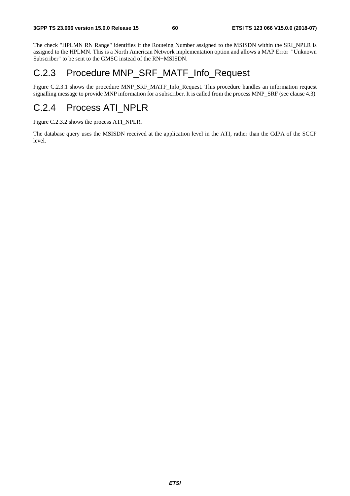The check "HPLMN RN Range" identifies if the Routeing Number assigned to the MSISDN within the SRI\_NPLR is assigned to the HPLMN. This is a North American Network implementation option and allows a MAP Error "Unknown Subscriber" to be sent to the GMSC instead of the RN+MSISDN.

### C.2.3 Procedure MNP\_SRF\_MATF\_Info\_Request

Figure C.2.3.1 shows the procedure MNP\_SRF\_MATF\_Info\_Request. This procedure handles an information request signalling message to provide MNP information for a subscriber. It is called from the process MNP\_SRF (see clause 4.3).

### C.2.4 Process ATI\_NPLR

Figure C.2.3.2 shows the process ATI\_NPLR.

The database query uses the MSISDN received at the application level in the ATI, rather than the CdPA of the SCCP level.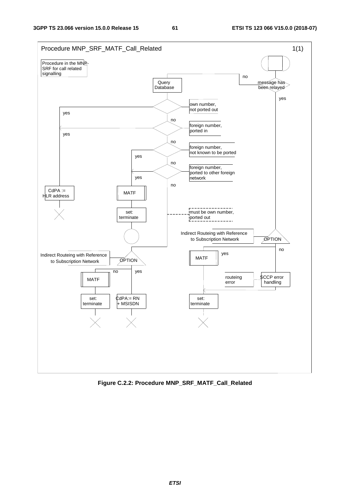

**Figure C.2.2: Procedure MNP\_SRF\_MATF\_Call\_Related**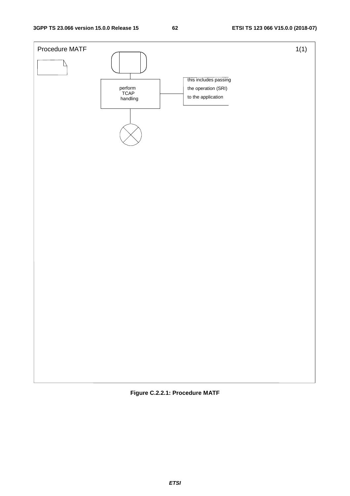

**Figure C.2.2.1: Procedure MATF**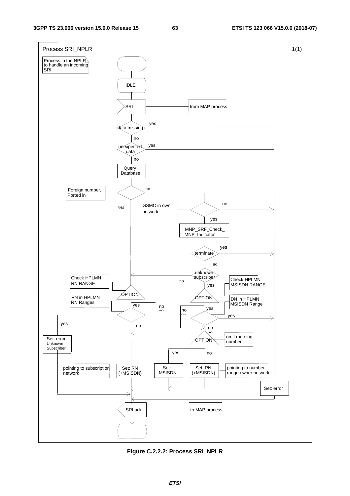

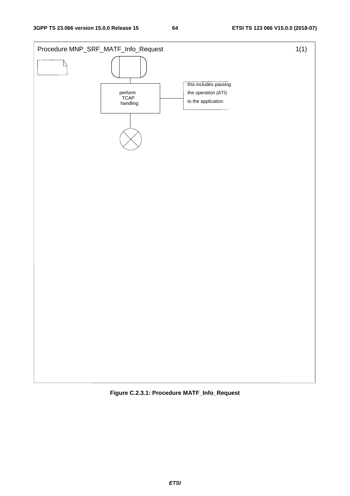

**Figure C.2.3.1: Procedure MATF\_Info\_Request**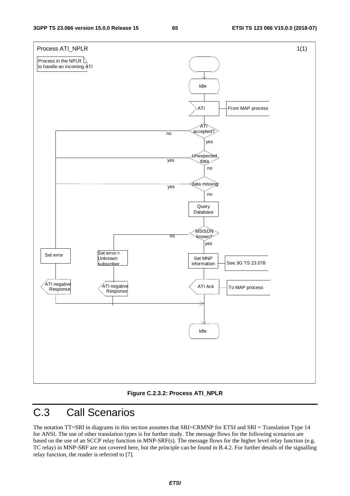

#### **Figure C.2.3.2: Process ATI\_NPLR**

# C.3 Call Scenarios

The notation TT=SRI in diagrams in this section assumes that SRI=CRMNP for ETSI and SRI = Translation Type 14 for ANSI. The use of other translation types is for further study. The message flows for the following scenarios are based on the use of an SCCP relay function in MNP-SRF(s). The message flows for the higher level relay function (e.g. TC relay) in MNP-SRF are not covered here, but the principle can be found in B.4.2. For further details of the signalling relay function, the reader is referred to [7].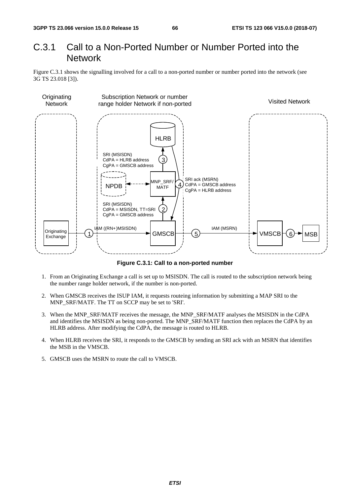### C.3.1 Call to a Non-Ported Number or Number Ported into the **Network**

Figure C.3.1 shows the signalling involved for a call to a non-ported number or number ported into the network (see 3G TS 23.018 [3]).



**Figure C.3.1: Call to a non-ported number** 

- 1. From an Originating Exchange a call is set up to MSISDN. The call is routed to the subscription network being the number range holder network, if the number is non-ported.
- 2. When GMSCB receives the ISUP IAM, it requests routeing information by submitting a MAP SRI to the MNP\_SRF/MATF. The TT on SCCP may be set to 'SRI'.
- 3. When the MNP\_SRF/MATF receives the message, the MNP\_SRF/MATF analyses the MSISDN in the CdPA and identifies the MSISDN as being non-ported. The MNP\_SRF/MATF function then replaces the CdPA by an HLRB address. After modifying the CdPA, the message is routed to HLRB.
- 4. When HLRB receives the SRI, it responds to the GMSCB by sending an SRI ack with an MSRN that identifies the MSB in the VMSCB.
- 5. GMSCB uses the MSRN to route the call to VMSCB.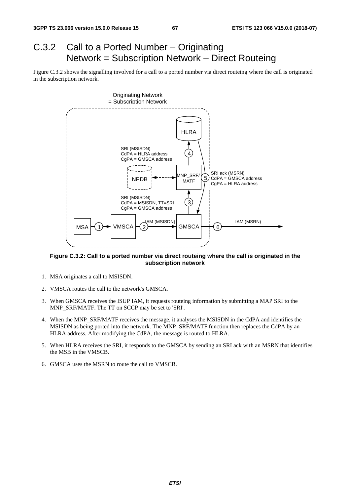# C.3.2 Call to a Ported Number – Originating Network = Subscription Network – Direct Routeing

Figure C.3.2 shows the signalling involved for a call to a ported number via direct routeing where the call is originated in the subscription network.



#### **Figure C.3.2: Call to a ported number via direct routeing where the call is originated in the subscription network**

- 1. MSA originates a call to MSISDN.
- 2. VMSCA routes the call to the network's GMSCA.
- 3. When GMSCA receives the ISUP IAM, it requests routeing information by submitting a MAP SRI to the MNP\_SRF/MATF. The TT on SCCP may be set to 'SRI'.
- 4. When the MNP\_SRF/MATF receives the message, it analyses the MSISDN in the CdPA and identifies the MSISDN as being ported into the network. The MNP\_SRF/MATF function then replaces the CdPA by an HLRA address. After modifying the CdPA, the message is routed to HLRA.
- 5. When HLRA receives the SRI, it responds to the GMSCA by sending an SRI ack with an MSRN that identifies the MSB in the VMSCB.
- 6. GMSCA uses the MSRN to route the call to VMSCB.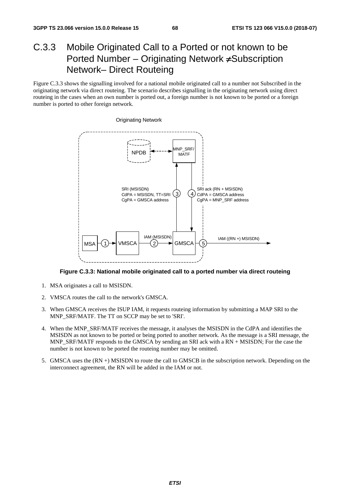## C.3.3 Mobile Originated Call to a Ported or not known to be Ported Number – Originating Network ≠Subscription Network– Direct Routeing

Figure C.3.3 shows the signalling involved for a national mobile originated call to a number not Subscribed in the originating network via direct routeing. The scenario describes signalling in the originating network using direct routeing in the cases when an own number is ported out, a foreign number is not known to be ported or a foreign number is ported to other foreign network.



**Figure C.3.3: National mobile originated call to a ported number via direct routeing** 

- 1. MSA originates a call to MSISDN.
- 2. VMSCA routes the call to the network's GMSCA.
- 3. When GMSCA receives the ISUP IAM, it requests routeing information by submitting a MAP SRI to the MNP\_SRF/MATF. The TT on SCCP may be set to 'SRI'.
- 4. When the MNP\_SRF/MATF receives the message, it analyses the MSISDN in the CdPA and identifies the MSISDN as not known to be ported or being ported to another network. As the message is a SRI message, the MNP\_SRF/MATF responds to the GMSCA by sending an SRI ack with a RN + MSISDN; For the case the number is not known to be ported the routeing number may be omitted.
- 5. GMSCA uses the (RN +) MSISDN to route the call to GMSCB in the subscription network. Depending on the interconnect agreement, the RN will be added in the IAM or not.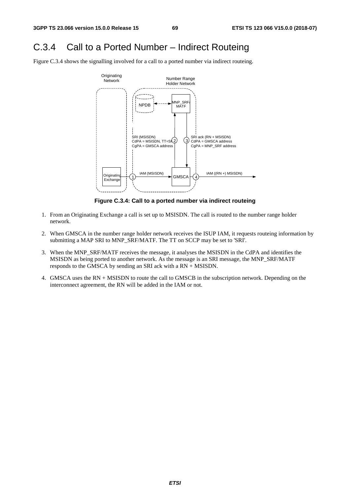### C.3.4 Call to a Ported Number – Indirect Routeing

Figure C.3.4 shows the signalling involved for a call to a ported number via indirect routeing.



**Figure C.3.4: Call to a ported number via indirect routeing** 

- 1. From an Originating Exchange a call is set up to MSISDN. The call is routed to the number range holder network.
- 2. When GMSCA in the number range holder network receives the ISUP IAM, it requests routeing information by submitting a MAP SRI to MNP\_SRF/MATF. The TT on SCCP may be set to 'SRI'.
- 3. When the MNP\_SRF/MATF receives the message, it analyses the MSISDN in the CdPA and identifies the MSISDN as being ported to another network. As the message is an SRI message, the MNP\_SRF/MATF responds to the GMSCA by sending an SRI ack with a RN + MSISDN.
- 4. GMSCA uses the RN + MSISDN to route the call to GMSCB in the subscription network. Depending on the interconnect agreement, the RN will be added in the IAM or not.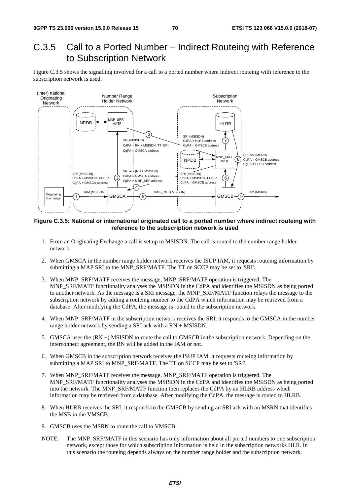### C.3.5 Call to a Ported Number – Indirect Routeing with Reference to Subscription Network

Figure C.3.5 shows the signalling involved for a call to a ported number where indirect routeing with reference to the subscription network is used.



#### **Figure C.3.5: National or international originated call to a ported number where indirect routeing with reference to the subscription network is used**

- 1. From an Originating Exchange a call is set up to MSISDN. The call is routed to the number range holder network.
- 2. When GMSCA in the number range holder network receives the ISUP IAM, it requests routeing information by submitting a MAP SRI to the MNP\_SRF/MATF. The TT on SCCP may be set to 'SRI'.
- 3. When MNP\_SRF/MATF receives the message, MNP\_SRF/MATF operation is triggered. The MNP\_SRF/MATF functionality analyses the MSISDN in the CdPA and identifies the MSISDN as being ported to another network. As the message is a SRI message, the MNP\_SRF/MATF function relays the message to the subscription network by adding a routeing number to the CdPA which information may be retrieved from a database. After modifying the CdPA, the message is routed to the subscription network.
- 4. When MNP\_SRF/MATF in the subscription network receives the SRI, it responds to the GMSCA in the number range holder network by sending a SRI ack with a RN + MSISDN.
- 5. GMSCA uses the (RN +) MSISDN to route the call to GMSCB in the subscription network; Depending on the interconnect agreement, the RN will be added in the IAM or not.
- 6. When GMSCB in the subscription network receives the ISUP IAM, it requests routeing information by submitting a MAP SRI to MNP\_SRF/MATF. The TT on SCCP may be set to 'SRI'.
- 7. When MNP\_SRF/MATF receives the message, MNP\_SRF/MATF operation is triggered. The MNP\_SRF/MATF functionality analyses the MSISDN in the CdPA and identifies the MSISDN as being ported into the network. The MNP\_SRF/MATF function then replaces the CdPA by an HLRB address which information may be retrieved from a database. After modifying the CdPA, the message is routed to HLRB.
- 8. When HLRB receives the SRI, it responds to the GMSCB by sending an SRI ack with an MSRN that identifies the MSB in the VMSCB.
- 9. GMSCB uses the MSRN to route the call to VMSCB.
- NOTE: The MNP\_SRF/MATF in this scenario has only information about all ported numbers to one subscription network, except those for which subscription information is held in the subscription networks HLR. In this scenario the routeing depends always on the number range holder and the subscription network.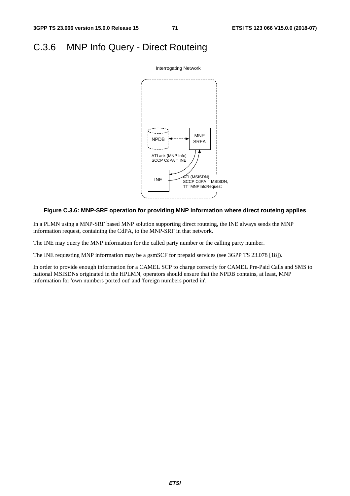# C.3.6 MNP Info Query - Direct Routeing



#### **Figure C.3.6: MNP-SRF operation for providing MNP Information where direct routeing applies**

In a PLMN using a MNP-SRF based MNP solution supporting direct routeing, the INE always sends the MNP information request, containing the CdPA, to the MNP-SRF in that network.

The INE may query the MNP information for the called party number or the calling party number.

The INE requesting MNP information may be a gsmSCF for prepaid services (see 3GPP TS 23.078 [18]).

In order to provide enough information for a CAMEL SCP to charge correctly for CAMEL Pre-Paid Calls and SMS to national MSISDNs originated in the HPLMN, operators should ensure that the NPDB contains, at least, MNP information for 'own numbers ported out' and 'foreign numbers ported in'.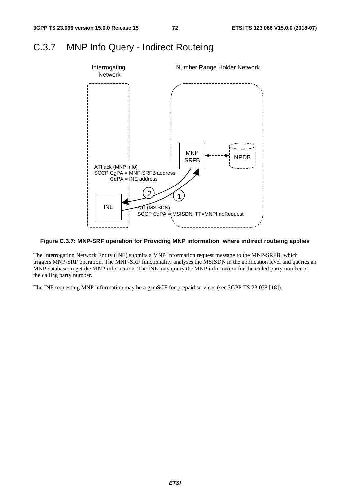#### C.3.7 MNP Info Query - Indirect Routeing



#### **Figure C.3.7: MNP-SRF operation for Providing MNP information where indirect routeing applies**

The Interrogating Network Entity (INE) submits a MNP Information request message to the MNP-SRFB, which triggers MNP-SRF operation. The MNP-SRF functionality analyses the MSISDN in the application level and queries an MNP database to get the MNP information. The INE may query the MNP information for the called party number or the calling party number.

The INE requesting MNP information may be a gsmSCF for prepaid services (see 3GPP TS 23.078 [18]).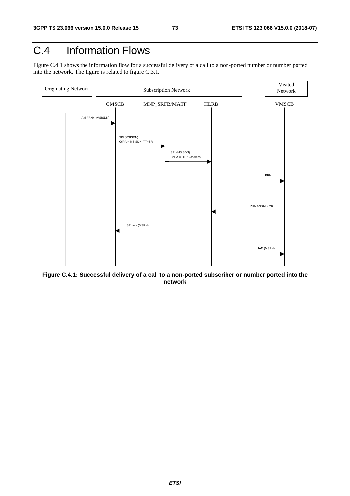## C.4 Information Flows

Figure C.4.1 shows the information flow for a successful delivery of a call to a non-ported number or number ported into the network. The figure is related to figure C.3.1.



**Figure C.4.1: Successful delivery of a call to a non-ported subscriber or number ported into the network**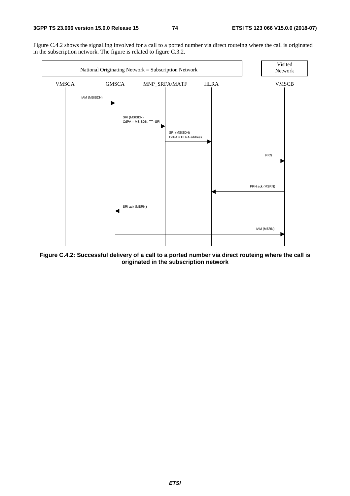Figure C.4.2 shows the signalling involved for a call to a ported number via direct routeing where the call is originated in the subscription network. The figure is related to figure C.3.2.



**Figure C.4.2: Successful delivery of a call to a ported number via direct routeing where the call is originated in the subscription network**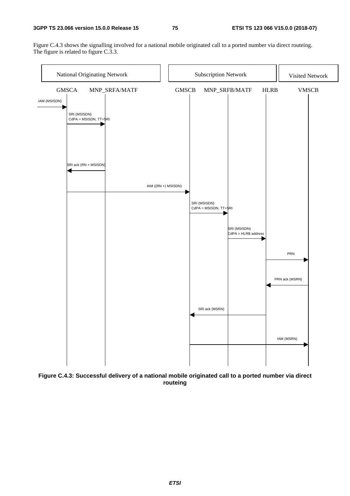Figure C.4.3 shows the signalling involved for a national mobile originated call to a ported number via direct routeing. The figure is related to figure C.3.3.



**Figure C.4.3: Successful delivery of a national mobile originated call to a ported number via direct routeing**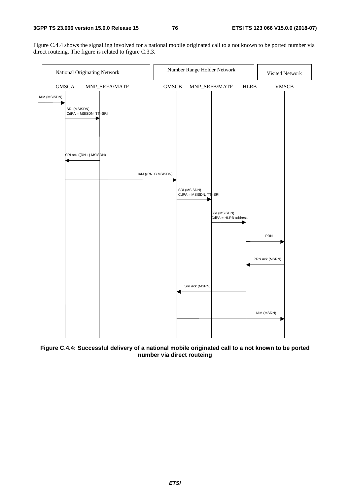Figure C.4.4 shows the signalling involved for a national mobile originated call to a not known to be ported number via direct routeing. The figure is related to figure C.3.3.



**Figure C.4.4: Successful delivery of a national mobile originated call to a not known to be ported number via direct routeing**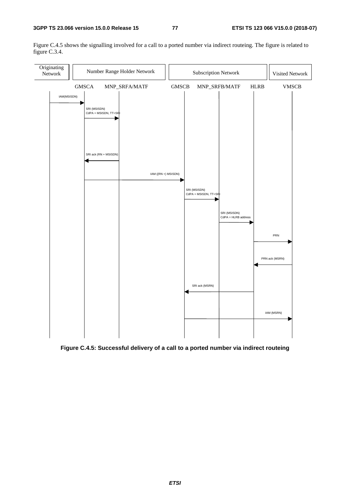Figure C.4.5 shows the signalling involved for a call to a ported number via indirect routeing. The figure is related to figure C.3.4.



**Figure C.4.5: Successful delivery of a call to a ported number via indirect routeing**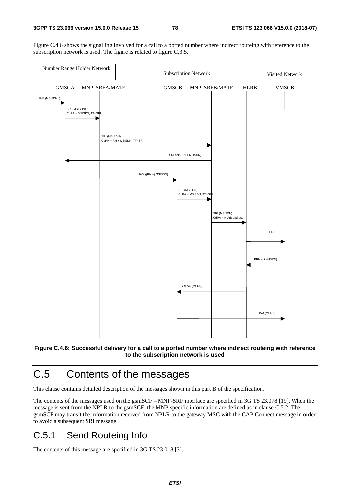Figure C.4.6 shows the signalling involved for a call to a ported number where indirect routeing with reference to the subscription network is used. The figure is related to figure C.3.5.





## C.5 Contents of the messages

This clause contains detailed description of the messages shown in this part B of the specification.

The contents of the messages used on the gsmSCF – MNP-SRF interface are specified in 3G TS 23.078 [19]. When the message is sent from the NPLR to the gsmSCF, the MNP specific information are defined as in clause C.5.2. The gsmSCF may transit the information received from NPLR to the gateway MSC with the CAP Connect message in order to avoid a subsequent SRI message.

#### C.5.1 Send Routeing Info

The contents of this message are specified in 3G TS 23.018 [3].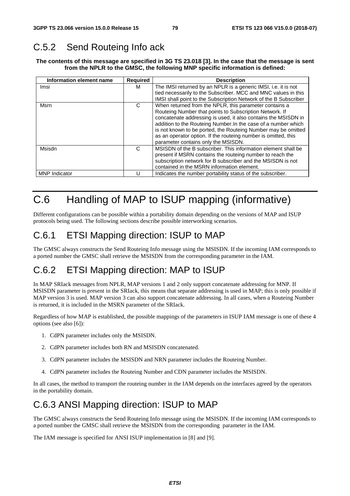### C.5.2 Send Routeing Info ack

**The contents of this message are specified in 3G TS 23.018 [3]. In the case that the message is sent from the NPLR to the GMSC, the following MNP specific information is defined:** 

| Information element name | <b>Required</b> | <b>Description</b>                                                                                                                                                                                                                                                                                                                                                                                                              |
|--------------------------|-----------------|---------------------------------------------------------------------------------------------------------------------------------------------------------------------------------------------------------------------------------------------------------------------------------------------------------------------------------------------------------------------------------------------------------------------------------|
| Imsi                     | м               | The IMSI returned by an NPLR is a generic IMSI, i.e. it is not<br>tied necessarily to the Subscriber. MCC and MNC values in this<br>IMSI shall point to the Subscription Network of the B Subscriber                                                                                                                                                                                                                            |
| Msrn                     | C               | When returned from the NPLR, this parameter contains a<br>Routeing Number that points to Subscription Network. If<br>concatenate addressing is used, it also contains the MSISDN in<br>addition to the Routeing Number. In the case of a number which<br>is not known to be ported, the Routeing Number may be omitted<br>as an operator option. If the routeing number is omitted, this<br>parameter contains only the MSISDN. |
| Msisdn                   | C               | MSISDN of the B subscriber. This information element shall be<br>present if MSRN contains the routeing number to reach the<br>subscription network for B subscriber and the MSISDN is not<br>contained in the MSRN information element.                                                                                                                                                                                         |
| <b>MNP</b> Indicator     |                 | Indicates the number portability status of the subscriber.                                                                                                                                                                                                                                                                                                                                                                      |

## C.6 Handling of MAP to ISUP mapping (informative)

Different configurations can be possible within a portability domain depending on the versions of MAP and ISUP protocols being used. The following sections describe possible interworking scenarios.

#### C.6.1 ETSI Mapping direction: ISUP to MAP

The GMSC always constructs the Send Routeing Info message using the MSISDN. If the incoming IAM corresponds to a ported number the GMSC shall retrieve the MSISDN from the corresponding parameter in the IAM.

### C.6.2 ETSI Mapping direction: MAP to ISUP

In MAP SRIack messages from NPLR, MAP versions 1 and 2 only support concatenate addressing for MNP. If MSISDN parameter is present in the SRIack, this means that separate addressing is used in MAP; this is only possible if MAP version 3 is used. MAP version 3 can also support concatenate addressing. In all cases, when a Routeing Number is returned, it is included in the MSRN parameter of the SRIack.

Regardless of how MAP is established, the possible mappings of the parameters in ISUP IAM message is one of these 4 options (see also [6]):

- 1. CdPN parameter includes only the MSISDN.
- 2. CdPN parameter includes both RN and MSISDN concatenated.
- 3. CdPN parameter includes the MSISDN and NRN parameter includes the Routeing Number.
- 4. CdPN parameter includes the Routeing Number and CDN parameter includes the MSISDN.

In all cases, the method to transport the routeing number in the IAM depends on the interfaces agreed by the operators in the portability domain.

#### C.6.3 ANSI Mapping direction: ISUP to MAP

The GMSC always constructs the Send Routeing Info message using the MSISDN. If the incoming IAM corresponds to a ported number the GMSC shall retrieve the MSISDN from the corresponding parameter in the IAM.

The IAM message is specified for ANSI ISUP implementation in [8] and [9].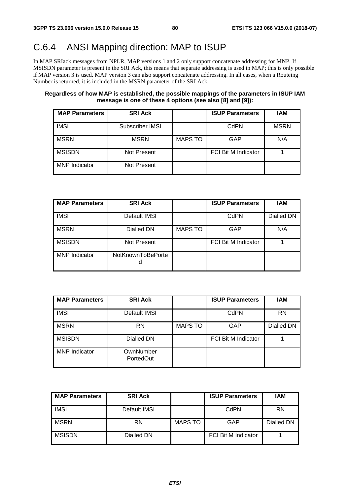## C.6.4 ANSI Mapping direction: MAP to ISUP

In MAP SRIack messages from NPLR, MAP versions 1 and 2 only support concatenate addressing for MNP. If MSISDN parameter is present in the SRI Ack, this means that separate addressing is used in MAP; this is only possible if MAP version 3 is used. MAP version 3 can also support concatenate addressing. In all cases, when a Routeing Number is returned, it is included in the MSRN parameter of the SRI Ack.

#### **Regardless of how MAP is established, the possible mappings of the parameters in ISUP IAM message is one of these 4 options (see also [8] and [9]):**

| <b>MAP Parameters</b> | <b>SRI Ack</b>  |                | <b>ISUP Parameters</b>     | <b>IAM</b>  |
|-----------------------|-----------------|----------------|----------------------------|-------------|
| <b>IMSI</b>           | Subscriber IMSI |                | CdPN                       | <b>MSRN</b> |
| MSRN                  | <b>MSRN</b>     | <b>MAPS TO</b> | GAP                        | N/A         |
| <b>MSISDN</b>         | Not Present     |                | <b>FCI Bit M Indicator</b> |             |
| <b>MNP</b> Indicator  | Not Present     |                |                            |             |

| <b>MAP Parameters</b> | <b>SRI Ack</b>    |                | <b>ISUP Parameters</b>     | <b>IAM</b> |
|-----------------------|-------------------|----------------|----------------------------|------------|
| <b>IMSI</b>           | Default IMSI      |                | CdPN                       | Dialled DN |
| <b>MSRN</b>           | Dialled DN        | <b>MAPS TO</b> | GAP                        | N/A        |
| <b>MSISDN</b>         | Not Present       |                | <b>FCI Bit M Indicator</b> |            |
| <b>MNP</b> Indicator  | NotKnownToBePorte |                |                            |            |

| <b>MAP Parameters</b> | <b>SRI Ack</b>         |                | <b>ISUP Parameters</b>     | <b>IAM</b> |
|-----------------------|------------------------|----------------|----------------------------|------------|
| <b>IMSI</b>           | Default IMSI           |                | CdPN                       | <b>RN</b>  |
| <b>MSRN</b>           | <b>RN</b>              | <b>MAPS TO</b> | GAP                        | Dialled DN |
| <b>MSISDN</b>         | Dialled DN             |                | <b>FCI Bit M Indicator</b> |            |
| <b>MNP</b> Indicator  | OwnNumber<br>PortedOut |                |                            |            |

| <b>MAP Parameters</b> | <b>SRI Ack</b> |                | <b>ISUP Parameters</b>     | IAM        |
|-----------------------|----------------|----------------|----------------------------|------------|
| <b>IMSI</b>           | Default IMSI   |                | CdPN                       | <b>RN</b>  |
| <b>MSRN</b>           | RN             | <b>MAPS TO</b> | GAP                        | Dialled DN |
| <b>MSISDN</b>         | Dialled DN     |                | <b>FCI Bit M Indicator</b> |            |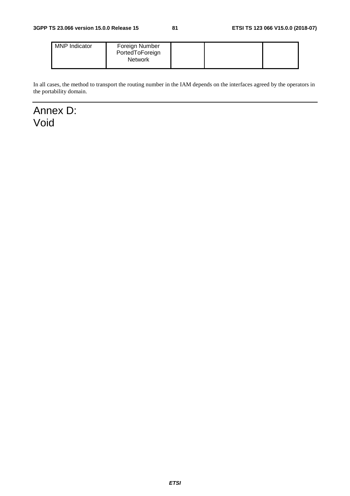| <b>MNP</b> Indicator | Foreign Number<br>PortedToForeign<br><b>Network</b> |  |  |  |
|----------------------|-----------------------------------------------------|--|--|--|
|----------------------|-----------------------------------------------------|--|--|--|

In all cases, the method to transport the routing number in the IAM depends on the interfaces agreed by the operators in the portability domain.

Annex D: Void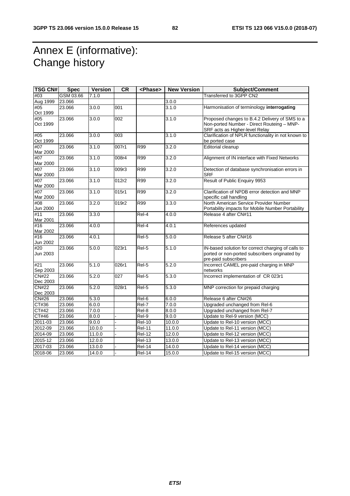## Annex E (informative): Change history

| <b>TSG CN#</b>           | <b>Spec</b> | <b>Version</b> | <b>CR</b> | <phase></phase>     | <b>New Version</b> | <b>Subject/Comment</b>                                        |
|--------------------------|-------------|----------------|-----------|---------------------|--------------------|---------------------------------------------------------------|
| #03                      | GSM 03.66   | 7.1.0          |           |                     |                    | Transferred to 3GPP CN2                                       |
| Aug 1999                 | 23.066      |                |           |                     | 3.0.0              |                                                               |
| #05                      | 23.066      | 3.0.0          | 001       |                     | 3.1.0              | Harmonisation of terminology interrogating                    |
| Oct 1999                 |             |                |           |                     |                    |                                                               |
| #05                      | 23.066      | 3.0.0          | 002       |                     | 3.1.0              | Proposed changes to B.4.2 Delivery of SMS to a                |
| Oct 1999                 |             |                |           |                     |                    | Non-ported Number - Direct Routeing - MNP-                    |
|                          |             |                |           |                     |                    | SRF acts as Higher-level Relay                                |
| #05                      | 23.066      | 3.0.0          | 003       |                     | 3.1.0              | Clarification of NPLR functionality in not known to           |
| Oct 1999                 |             |                |           |                     |                    | be ported case                                                |
| #07                      | 23.066      | 3.1.0          | 007r1     | <b>R99</b>          | 3.2.0              | Editorial cleanup                                             |
| Mar 2000                 |             |                |           |                     |                    |                                                               |
| #07                      | 23.066      | 3.1.0          | 008r4     | <b>R99</b>          | 3.2.0              | Alignment of IN interface with Fixed Networks                 |
| Mar 2000<br>#07          | 23.066      | 3.1.0          | 009r3     | R99                 | 3.2.0              |                                                               |
| Mar 2000                 |             |                |           |                     |                    | Detection of database synchronisation errors in<br><b>SRF</b> |
| #07                      | 23.066      | 3.1.0          | 012r2     | R99                 | 3.2.0              | Result of Public Enquiry 9953                                 |
| Mar 2000                 |             |                |           |                     |                    |                                                               |
| #07                      | 23.066      | 3.1.0          | 015r1     | R99                 | 3.2.0              | Clarification of NPDB error detection and MNP                 |
| Mar 2000                 |             |                |           |                     |                    | specific call handling                                        |
| #08                      | 23.066      | 3.2.0          | 019r2     | R99                 | 3.3.0              | North American Service Provider Number                        |
| Jun 2000                 |             |                |           |                     |                    | Portability impacts for Mobile Number Portability             |
| #11                      | 23.066      | 3.3.0          |           | Rel-4               | 4.0.0              | Release 4 after CN#11                                         |
| Mar 2001                 |             |                |           |                     |                    |                                                               |
| #16                      | 23.066      | 4.0.0          |           | Rel-4               | 4.0.1              | References updated                                            |
| Mar 2002                 |             |                |           |                     |                    |                                                               |
| #16                      | 23.066      | 4.0.1          |           | Rel-5               | 5.0.0              | Release 5 after CN#16                                         |
| Jun 2002                 |             |                |           |                     |                    |                                                               |
| #20                      | 23.066      | 5.0.0          | 023r1     | Rel-5               | 5.1.0              | IN-based solution for correct charging of calls to            |
| Jun 2003                 |             |                |           |                     |                    | ported or non-ported subscribers originated by                |
|                          |             |                |           |                     |                    | pre-paid subscribers                                          |
| #21                      | 23.066      | 5.1.0          | 026r1     | Rel-5               | 5.2.0              | Incorrect CAMEL pre-paid charging in MNP                      |
| Sep 2003                 |             |                |           |                     |                    | networks                                                      |
| <b>CN#22</b>             | 23.066      | 5.2.0          | 027       | Rel-5               | 5.3.0              | Incorrect implementation of CR 023r1                          |
| Dec 2003<br><b>CN#22</b> | 23.066      | 5.2.0          | 028r1     | $Rel-5$             | 5.3.0              | MNP correction for prepaid charging                           |
| Dec 2003                 |             |                |           |                     |                    |                                                               |
| <b>CN#26</b>             | 23.066      | 5.3.0          |           | Rel-6               | 6.0.0              | Release 6 after CN#26                                         |
| CT#36                    | 23.066      | 6.0.0          |           | $Rel-7$             | 7.0.0              | Upgraded unchanged from Rel-6                                 |
| CT#42                    | 23.066      | 7.0.0          |           | Rel-8               | 8.0.0              | Upgraded unchanged from Rel-7                                 |
| CT#46                    | 23.066      | 8.0.0          |           | $ReI-9$             | 9.0.0              | Update to Rel-9 version (MCC)                                 |
| 2011-03                  | 23.066      | 9.0.0          |           | <b>Rel-10</b>       | 10.0.0             | Update to Rel-10 version (MCC)                                |
| 2012-09                  | 23.066      | 10.0.0         |           | Rel-11              | 11.0.0             | Update to Rel-11 version (MCC)                                |
| 2014-09                  | 23.066      | 11.0.0         |           | <b>Rel-12</b>       | 12.0.0             | Update to Rel-12 version (MCC)                                |
| 2015-12                  | 23.066      | 12.0.0         |           | $Rel-13$            | 13.0.0             | Update to Rel-13 version (MCC)                                |
|                          |             |                |           |                     |                    |                                                               |
| 2017-03                  | 23.066      | 13.0.0         |           | <b>Rel-14</b>       | 14.0.0             | Update to Rel-14 version (MCC)                                |
| 2018-06                  | 23.066      | 14.0.0         |           | $\overline{Rel-14}$ | 15.0.0             | Update to Rel-15 version (MCC)                                |